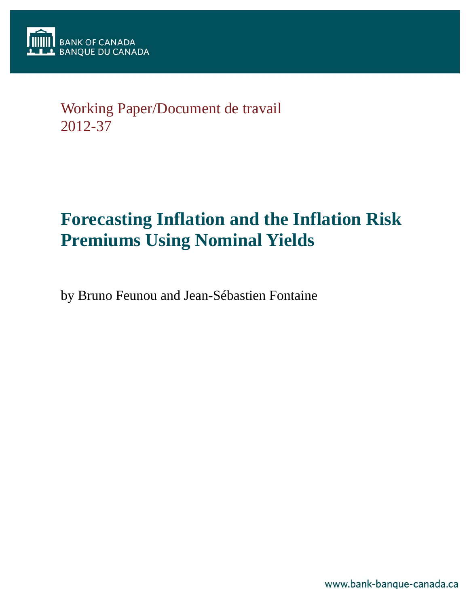

# Working Paper/Document de travail 2012-37

# **Forecasting Inflation and the Inflation Risk Premiums Using Nominal Yields**

by Bruno Feunou and Jean-Sébastien Fontaine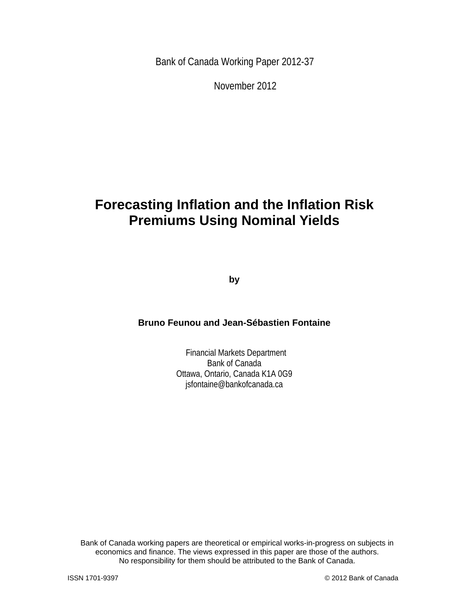Bank of Canada Working Paper 2012-37

November 2012

# **Forecasting Inflation and the Inflation Risk Premiums Using Nominal Yields**

**by** 

## **Bruno Feunou and Jean-Sébastien Fontaine**

 Financial Markets Department Bank of Canada Ottawa, Ontario, Canada K1A 0G9 jsfontaine@bankofcanada.ca

Bank of Canada working papers are theoretical or empirical works-in-progress on subjects in economics and finance. The views expressed in this paper are those of the authors. No responsibility for them should be attributed to the Bank of Canada.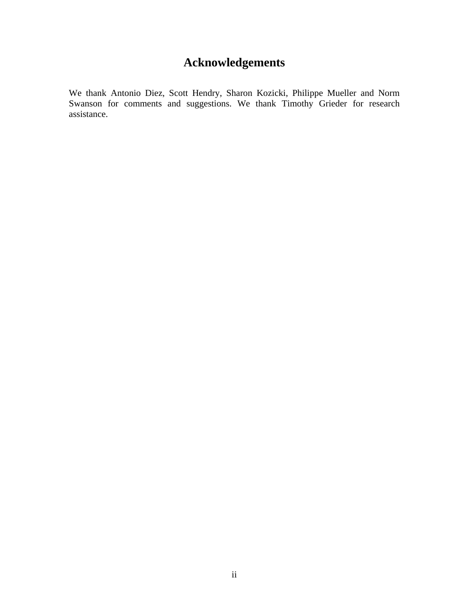# **Acknowledgements**

We thank Antonio Diez, Scott Hendry, Sharon Kozicki, Philippe Mueller and Norm Swanson for comments and suggestions. We thank Timothy Grieder for research assistance.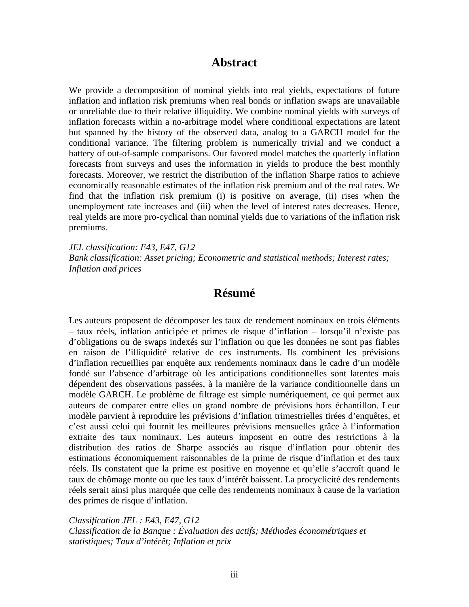## **Abstract**

We provide a decomposition of nominal yields into real yields, expectations of future inflation and inflation risk premiums when real bonds or inflation swaps are unavailable or unreliable due to their relative illiquidity. We combine nominal yields with surveys of inflation forecasts within a no-arbitrage model where conditional expectations are latent but spanned by the history of the observed data, analog to a GARCH model for the conditional variance. The filtering problem is numerically trivial and we conduct a battery of out-of-sample comparisons. Our favored model matches the quarterly inflation forecasts from surveys and uses the information in yields to produce the best monthly forecasts. Moreover, we restrict the distribution of the inflation Sharpe ratios to achieve economically reasonable estimates of the inflation risk premium and of the real rates. We find that the inflation risk premium (i) is positive on average, (ii) rises when the unemployment rate increases and (iii) when the level of interest rates decreases. Hence, real yields are more pro-cyclical than nominal yields due to variations of the inflation risk premiums.

*JEL classification: E43, E47, G12 Bank classification: Asset pricing; Econometric and statistical methods; Interest rates; Inflation and prices* 

## **Résumé**

Les auteurs proposent de décomposer les taux de rendement nominaux en trois éléments – taux réels, inflation anticipée et primes de risque d'inflation – lorsqu'il n'existe pas d'obligations ou de swaps indexés sur l'inflation ou que les données ne sont pas fiables en raison de l'illiquidité relative de ces instruments. Ils combinent les prévisions d'inflation recueillies par enquête aux rendements nominaux dans le cadre d'un modèle fondé sur l'absence d'arbitrage où les anticipations conditionnelles sont latentes mais dépendent des observations passées, à la manière de la variance conditionnelle dans un modèle GARCH. Le problème de filtrage est simple numériquement, ce qui permet aux auteurs de comparer entre elles un grand nombre de prévisions hors échantillon. Leur modèle parvient à reproduire les prévisions d'inflation trimestrielles tirées d'enquêtes, et c'est aussi celui qui fournit les meilleures prévisions mensuelles grâce à l'information extraite des taux nominaux. Les auteurs imposent en outre des restrictions à la distribution des ratios de Sharpe associés au risque d'inflation pour obtenir des estimations économiquement raisonnables de la prime de risque d'inflation et des taux réels. Ils constatent que la prime est positive en moyenne et qu'elle s'accroît quand le taux de chômage monte ou que les taux d'intérêt baissent. La procyclicité des rendements réels serait ainsi plus marquée que celle des rendements nominaux à cause de la variation des primes de risque d'inflation.

*Classification JEL : E43, E47, G12 Classification de la Banque : Évaluation des actifs; Méthodes économétriques et statistiques; Taux d'intérêt; Inflation et prix*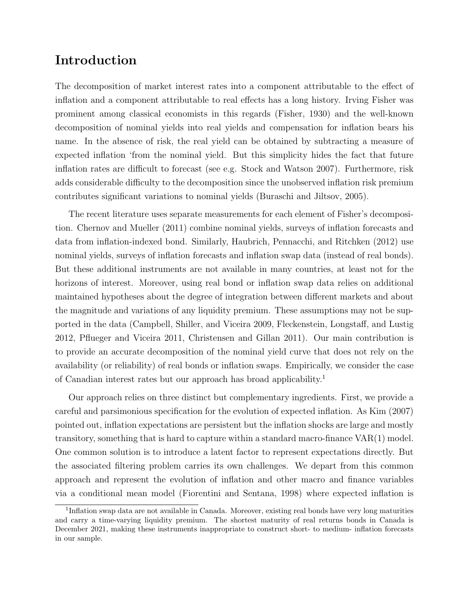## **Introduction**

The decomposition of market interest rates into a component attributable to the effect of inflation and a component attributable to real effects has a long history. Irving Fisher was prominent among classical economists in this regards (Fisher, 1930) and the well-known decomposition of nominal yields into real yields and compensation for inflation bears his name. In the absence of risk, the real yield can be obtained by subtracting a measure of expected inflation 'from the nominal yield. But this simplicity hides the fact that future inflation rates are difficult to forecast (see e.g. Stock and Watson 2007). Furthermore, risk adds considerable difficulty to the decomposition since the unobserved inflation risk premium contributes significant variations to nominal yields (Buraschi and Jiltsov, 2005).

The recent literature uses separate measurements for each element of Fisher's decomposition. Chernov and Mueller (2011) combine nominal yields, surveys of inflation forecasts and data from inflation-indexed bond. Similarly, Haubrich, Pennacchi, and Ritchken (2012) use nominal yields, surveys of inflation forecasts and inflation swap data (instead of real bonds). But these additional instruments are not available in many countries, at least not for the horizons of interest. Moreover, using real bond or inflation swap data relies on additional maintained hypotheses about the degree of integration between different markets and about the magnitude and variations of any liquidity premium. These assumptions may not be supported in the data (Campbell, Shiller, and Viceira 2009, Fleckenstein, Longstaff, and Lustig 2012, Pflueger and Viceira 2011, Christensen and Gillan 2011). Our main contribution is to provide an accurate decomposition of the nominal yield curve that does not rely on the availability (or reliability) of real bonds or inflation swaps. Empirically, we consider the case of Canadian interest rates but our approach has broad applicability.<sup>1</sup>

Our approach relies on three distinct but complementary ingredients. First, we provide a careful and parsimonious specification for the evolution of expected inflation. As Kim (2007) pointed out, inflation expectations are persistent but the inflation shocks are large and mostly transitory, something that is hard to capture within a standard macro-finance VAR(1) model. One common solution is to introduce a latent factor to represent expectations directly. But the associated filtering problem carries its own challenges. We depart from this common approach and represent the evolution of inflation and other macro and finance variables via a conditional mean model (Fiorentini and Sentana, 1998) where expected inflation is

<sup>&</sup>lt;sup>1</sup>Inflation swap data are not available in Canada. Moreover, existing real bonds have very long maturities and carry a time-varying liquidity premium. The shortest maturity of real returns bonds in Canada is December 2021, making these instruments inappropriate to construct short- to medium- inflation forecasts in our sample.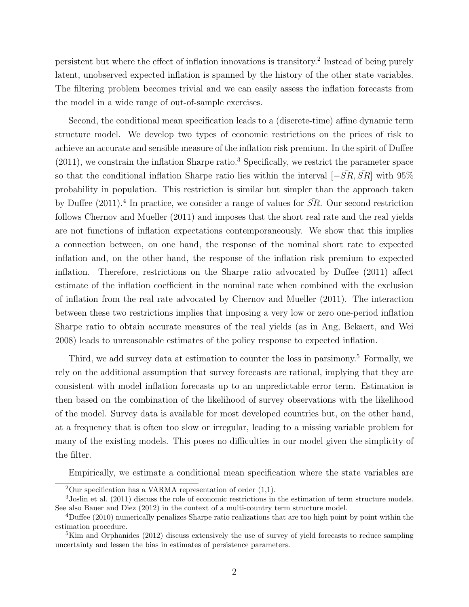persistent but where the effect of inflation innovations is transitory.<sup>2</sup> Instead of being purely latent, unobserved expected inflation is spanned by the history of the other state variables. The filtering problem becomes trivial and we can easily assess the inflation forecasts from the model in a wide range of out-of-sample exercises.

Second, the conditional mean specification leads to a (discrete-time) affine dynamic term structure model. We develop two types of economic restrictions on the prices of risk to achieve an accurate and sensible measure of the inflation risk premium. In the spirit of Duffee  $(2011)$ , we constrain the inflation Sharpe ratio.<sup>3</sup> Specifically, we restrict the parameter space so that the conditional inflation Sharpe ratio lies within the interval  $[-\overline{SR}, \overline{SR}]$  with 95% probability in population. This restriction is similar but simpler than the approach taken by Duffee  $(2011).<sup>4</sup>$  In practice, we consider a range of values for  $\overline{SR}$ . Our second restriction follows Chernov and Mueller (2011) and imposes that the short real rate and the real yields are not functions of inflation expectations contemporaneously. We show that this implies a connection between, on one hand, the response of the nominal short rate to expected inflation and, on the other hand, the response of the inflation risk premium to expected inflation. Therefore, restrictions on the Sharpe ratio advocated by Duffee (2011) affect estimate of the inflation coefficient in the nominal rate when combined with the exclusion of inflation from the real rate advocated by Chernov and Mueller (2011). The interaction between these two restrictions implies that imposing a very low or zero one-period inflation Sharpe ratio to obtain accurate measures of the real yields (as in Ang, Bekaert, and Wei 2008) leads to unreasonable estimates of the policy response to expected inflation.

Third, we add survey data at estimation to counter the loss in parsimony.<sup>5</sup> Formally, we rely on the additional assumption that survey forecasts are rational, implying that they are consistent with model inflation forecasts up to an unpredictable error term. Estimation is then based on the combination of the likelihood of survey observations with the likelihood of the model. Survey data is available for most developed countries but, on the other hand, at a frequency that is often too slow or irregular, leading to a missing variable problem for many of the existing models. This poses no difficulties in our model given the simplicity of the filter.

Empirically, we estimate a conditional mean specification where the state variables are

<sup>&</sup>lt;sup>2</sup>Our specification has a VARMA representation of order  $(1,1)$ .

<sup>3</sup>Joslin et al. (2011) discuss the role of economic restrictions in the estimation of term structure models. See also Bauer and Diez (2012) in the context of a multi-country term structure model.

<sup>4</sup>Duffee (2010) numerically penalizes Sharpe ratio realizations that are too high point by point within the estimation procedure.

<sup>5</sup>Kim and Orphanides (2012) discuss extensively the use of survey of yield forecasts to reduce sampling uncertainty and lessen the bias in estimates of persistence parameters.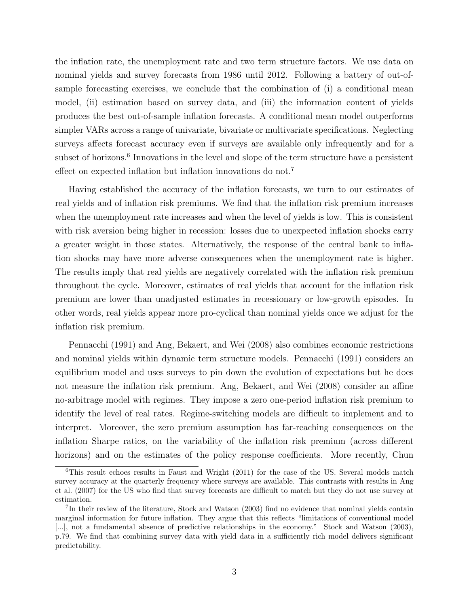the inflation rate, the unemployment rate and two term structure factors. We use data on nominal yields and survey forecasts from 1986 until 2012. Following a battery of out-ofsample forecasting exercises, we conclude that the combination of (i) a conditional mean model, (ii) estimation based on survey data, and (iii) the information content of yields produces the best out-of-sample inflation forecasts. A conditional mean model outperforms simpler VARs across a range of univariate, bivariate or multivariate specifications. Neglecting surveys affects forecast accuracy even if surveys are available only infrequently and for a subset of horizons.<sup>6</sup> Innovations in the level and slope of the term structure have a persistent effect on expected inflation but inflation innovations do not.<sup>7</sup>

Having established the accuracy of the inflation forecasts, we turn to our estimates of real yields and of inflation risk premiums. We find that the inflation risk premium increases when the unemployment rate increases and when the level of yields is low. This is consistent with risk aversion being higher in recession: losses due to unexpected inflation shocks carry a greater weight in those states. Alternatively, the response of the central bank to inflation shocks may have more adverse consequences when the unemployment rate is higher. The results imply that real yields are negatively correlated with the inflation risk premium throughout the cycle. Moreover, estimates of real yields that account for the inflation risk premium are lower than unadjusted estimates in recessionary or low-growth episodes. In other words, real yields appear more pro-cyclical than nominal yields once we adjust for the inflation risk premium.

Pennacchi (1991) and Ang, Bekaert, and Wei (2008) also combines economic restrictions and nominal yields within dynamic term structure models. Pennacchi (1991) considers an equilibrium model and uses surveys to pin down the evolution of expectations but he does not measure the inflation risk premium. Ang, Bekaert, and Wei (2008) consider an affine no-arbitrage model with regimes. They impose a zero one-period inflation risk premium to identify the level of real rates. Regime-switching models are difficult to implement and to interpret. Moreover, the zero premium assumption has far-reaching consequences on the inflation Sharpe ratios, on the variability of the inflation risk premium (across different horizons) and on the estimates of the policy response coefficients. More recently, Chun

 $6$ This result echoes results in Faust and Wright (2011) for the case of the US. Several models match survey accuracy at the quarterly frequency where surveys are available. This contrasts with results in Ang et al. (2007) for the US who find that survey forecasts are difficult to match but they do not use survey at estimation.

<sup>&</sup>lt;sup>7</sup>In their review of the literature, Stock and Watson (2003) find no evidence that nominal yields contain marginal information for future inflation. They argue that this reflects "limitations of conventional model [...], not a fundamental absence of predictive relationships in the economy." Stock and Watson (2003), p.79. We find that combining survey data with yield data in a sufficiently rich model delivers significant predictability.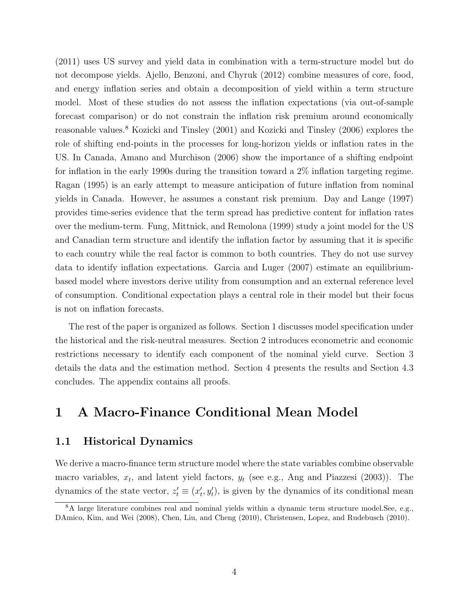(2011) uses US survey and yield data in combination with a term-structure model but do not decompose yields. Ajello, Benzoni, and Chyruk (2012) combine measures of core, food, and energy inflation series and obtain a decomposition of yield within a term structure model. Most of these studies do not assess the inflation expectations (via out-of-sample forecast comparison) or do not constrain the inflation risk premium around economically reasonable values.<sup>8</sup> Kozicki and Tinsley (2001) and Kozicki and Tinsley (2006) explores the role of shifting end-points in the processes for long-horizon yields or inflation rates in the US. In Canada, Amano and Murchison (2006) show the importance of a shifting endpoint for inflation in the early 1990s during the transition toward a 2% inflation targeting regime. Ragan (1995) is an early attempt to measure anticipation of future inflation from nominal yields in Canada. However, he assumes a constant risk premium. Day and Lange (1997) provides time-series evidence that the term spread has predictive content for inflation rates over the medium-term. Fung, Mittnick, and Remolona (1999) study a joint model for the US and Canadian term structure and identify the inflation factor by assuming that it is specific to each country while the real factor is common to both countries. They do not use survey data to identify inflation expectations. Garcia and Luger (2007) estimate an equilibriumbased model where investors derive utility from consumption and an external reference level of consumption. Conditional expectation plays a central role in their model but their focus is not on inflation forecasts.

The rest of the paper is organized as follows. Section 1 discusses model specification under the historical and the risk-neutral measures. Section 2 introduces econometric and economic restrictions necessary to identify each component of the nominal yield curve. Section 3 details the data and the estimation method. Section 4 presents the results and Section 4.3 concludes. The appendix contains all proofs.

## **1 A Macro-Finance Conditional Mean Model**

#### **1.1 Historical Dynamics**

We derive a macro-finance term structure model where the state variables combine observable macro variables,  $x_t$ , and latent yield factors,  $y_t$  (see e.g., Ang and Piazzesi (2003)). The dynamics of the state vector,  $z'_{t} \equiv (x'_{t}, y'_{t})$ , is given by the dynamics of its conditional mean

<sup>&</sup>lt;sup>8</sup>A large literature combines real and nominal yields within a dynamic term structure model. See, e.g., DAmico, Kim, and Wei (2008), Chen, Liu, and Cheng (2010), Christensen, Lopez, and Rudebusch (2010).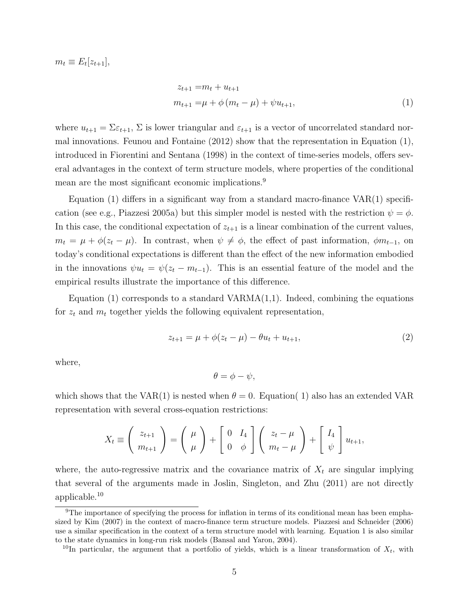$m_t \equiv E_t[z_{t+1}],$ 

$$
z_{t+1} = m_t + u_{t+1}
$$
  
\n
$$
m_{t+1} = \mu + \phi (m_t - \mu) + \psi u_{t+1},
$$
\n(1)

where  $u_{t+1} = \sum \varepsilon_{t+1}$ ,  $\Sigma$  is lower triangular and  $\varepsilon_{t+1}$  is a vector of uncorrelated standard normal innovations. Feunou and Fontaine (2012) show that the representation in Equation (1), introduced in Fiorentini and Sentana (1998) in the context of time-series models, offers several advantages in the context of term structure models, where properties of the conditional mean are the most significant economic implications.<sup>9</sup>

Equation (1) differs in a significant way from a standard macro-finance  $VAR(1)$  specification (see e.g., Piazzesi 2005a) but this simpler model is nested with the restriction  $\psi = \phi$ . In this case, the conditional expectation of  $z_{t+1}$  is a linear combination of the current values,  $m_t = \mu + \phi(z_t - \mu)$ . In contrast, when  $\psi \neq \phi$ , the effect of past information,  $\phi m_{t-1}$ , on today's conditional expectations is different than the effect of the new information embodied in the innovations  $\psi u_t = \psi(z_t - m_{t-1})$ . This is an essential feature of the model and the empirical results illustrate the importance of this difference.

Equation  $(1)$  corresponds to a standard VARMA $(1,1)$ . Indeed, combining the equations for  $z_t$  and  $m_t$  together yields the following equivalent representation,

$$
z_{t+1} = \mu + \phi(z_t - \mu) - \theta u_t + u_{t+1},
$$
\n(2)

where,

$$
\theta = \phi - \psi,
$$

which shows that the VAR(1) is nested when  $\theta = 0$ . Equation(1) also has an extended VAR representation with several cross-equation restrictions:

$$
X_t \equiv \begin{pmatrix} z_{t+1} \\ m_{t+1} \end{pmatrix} = \begin{pmatrix} \mu \\ \mu \end{pmatrix} + \begin{bmatrix} 0 & I_4 \\ 0 & \phi \end{bmatrix} \begin{pmatrix} z_t - \mu \\ m_t - \mu \end{pmatrix} + \begin{bmatrix} I_4 \\ \psi \end{bmatrix} u_{t+1},
$$

where, the auto-regressive matrix and the covariance matrix of  $X_t$  are singular implying that several of the arguments made in Joslin, Singleton, and Zhu (2011) are not directly applicable.<sup>10</sup>

<sup>9</sup>The importance of specifying the process for inflation in terms of its conditional mean has been emphasized by Kim (2007) in the context of macro-finance term structure models. Piazzesi and Schneider (2006) use a similar specification in the context of a term structure model with learning. Equation 1 is also similar to the state dynamics in long-run risk models (Bansal and Yaron, 2004).

<sup>&</sup>lt;sup>10</sup>In particular, the argument that a portfolio of yields, which is a linear transformation of  $X_t$ , with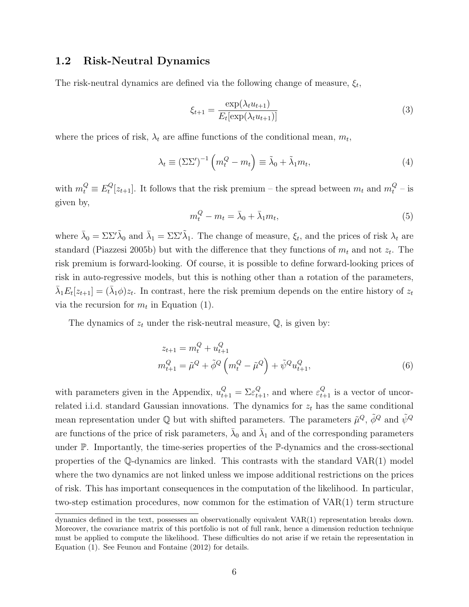#### **1.2 Risk-Neutral Dynamics**

The risk-neutral dynamics are defined via the following change of measure, *ξ<sup>t</sup>* ,

$$
\xi_{t+1} = \frac{\exp(\lambda_t u_{t+1})}{E_t[\exp(\lambda_t u_{t+1})]}
$$
\n(3)

where the prices of risk,  $\lambda_t$  are affine functions of the conditional mean,  $m_t$ ,

$$
\lambda_t \equiv (\Sigma \Sigma')^{-1} \left( m_t^Q - m_t \right) \equiv \tilde{\lambda}_0 + \tilde{\lambda}_1 m_t, \tag{4}
$$

with  $m_t^Q \equiv E_t^Q$  $t^{Q}_{t}[z_{t+1}]$ . It follows that the risk premium – the spread between  $m_{t}$  and  $m_{t}^{Q}$  – is given by,

$$
m_t^Q - m_t = \bar{\lambda}_0 + \bar{\lambda}_1 m_t,\tag{5}
$$

where  $\bar{\lambda}_0 = \Sigma \Sigma' \tilde{\lambda}_0$  and  $\bar{\lambda}_1 = \Sigma \Sigma' \tilde{\lambda}_1$ . The change of measure,  $\xi_t$ , and the prices of risk  $\lambda_t$  are standard (Piazzesi 2005b) but with the difference that they functions of  $m_t$  and not  $z_t$ . The risk premium is forward-looking. Of course, it is possible to define forward-looking prices of risk in auto-regressive models, but this is nothing other than a rotation of the parameters,  $\bar{\lambda}_1 E_t[z_{t+1}] = (\bar{\lambda}_1 \phi) z_t$ . In contrast, here the risk premium depends on the entire history of  $z_t$ via the recursion for  $m_t$  in Equation (1).

The dynamics of  $z_t$  under the risk-neutral measure,  $\mathbb{Q}$ , is given by:

$$
z_{t+1} = m_t^Q + u_{t+1}^Q
$$
  

$$
m_{t+1}^Q = \tilde{\mu}^Q + \tilde{\phi}^Q \left( m_t^Q - \tilde{\mu}^Q \right) + \tilde{\psi}^Q u_{t+1}^Q,
$$
 (6)

with parameters given in the Appendix,  $u_{t+1}^Q = \sum \varepsilon_{t+1}^Q$ , and where  $\varepsilon_{t+1}^Q$  is a vector of uncorrelated i.i.d. standard Gaussian innovations. The dynamics for  $z_t$  has the same conditional mean representation under  $\mathbb Q$  but with shifted parameters. The parameters  $\tilde{\mu}^Q$ ,  $\tilde{\phi}^Q$  and  $\tilde{\psi}^Q$ are functions of the price of risk parameters,  $\bar{\lambda}_0$  and  $\bar{\lambda}_1$  and of the corresponding parameters under P. Importantly, the time-series properties of the P-dynamics and the cross-sectional properties of the  $\mathbb{Q}$ -dynamics are linked. This contrasts with the standard VAR $(1)$  model where the two dynamics are not linked unless we impose additional restrictions on the prices of risk. This has important consequences in the computation of the likelihood. In particular, two-step estimation procedures, now common for the estimation of VAR(1) term structure

dynamics defined in the text, possesses an observationally equivalent VAR(1) representation breaks down. Moreover, the covariance matrix of this portfolio is not of full rank, hence a dimension reduction technique must be applied to compute the likelihood. These difficulties do not arise if we retain the representation in Equation (1). See Feunou and Fontaine (2012) for details.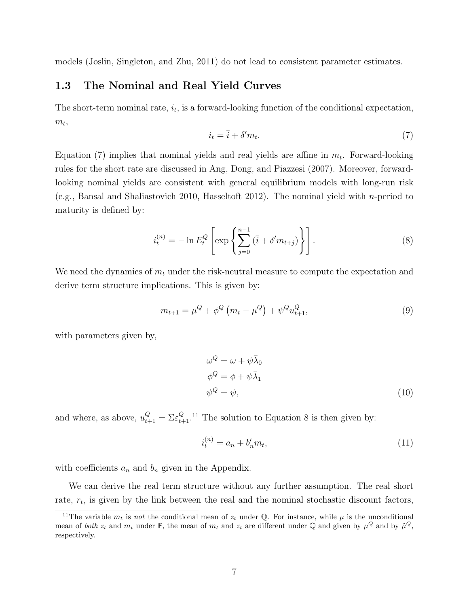models (Joslin, Singleton, and Zhu, 2011) do not lead to consistent parameter estimates.

#### **1.3 The Nominal and Real Yield Curves**

The short-term nominal rate,  $i_t$ , is a forward-looking function of the conditional expectation,  $m_t$ ,

$$
i_t = \bar{i} + \delta' m_t. \tag{7}
$$

Equation  $(7)$  implies that nominal yields and real yields are affine in  $m_t$ . Forward-looking rules for the short rate are discussed in Ang, Dong, and Piazzesi (2007). Moreover, forwardlooking nominal yields are consistent with general equilibrium models with long-run risk (e.g., Bansal and Shaliastovich 2010, Hasseltoft 2012). The nominal yield with *n*-period to maturity is defined by:

$$
i_t^{(n)} = -\ln E_t^Q \left[ \exp \left\{ \sum_{j=0}^{n-1} (\bar{i} + \delta' m_{t+j}) \right\} \right].
$$
 (8)

We need the dynamics of  $m_t$  under the risk-neutral measure to compute the expectation and derive term structure implications. This is given by:

$$
m_{t+1} = \mu^{Q} + \phi^{Q} \left( m_t - \mu^{Q} \right) + \psi^{Q} u_{t+1}^{Q}, \qquad (9)
$$

with parameters given by,

$$
\omega^{Q} = \omega + \psi \bar{\lambda}_{0}
$$
  
\n
$$
\phi^{Q} = \phi + \psi \bar{\lambda}_{1}
$$
  
\n
$$
\psi^{Q} = \psi,
$$
\n(10)

and where, as above,  $u_{t+1}^Q = \sum_{\epsilon} Q_{t+1}^Q$ .<sup>11</sup> The solution to Equation 8 is then given by:

$$
i_t^{(n)} = a_n + b'_n m_t,
$$
\n(11)

with coefficients  $a_n$  and  $b_n$  given in the Appendix.

We can derive the real term structure without any further assumption. The real short rate,  $r_t$ , is given by the link between the real and the nominal stochastic discount factors,

<sup>&</sup>lt;sup>11</sup>The variable  $m_t$  is *not* the conditional mean of  $z_t$  under Q. For instance, while  $\mu$  is the unconditional mean of *both*  $z_t$  and  $m_t$  under  $\mathbb{P}$ , the mean of  $m_t$  and  $z_t$  are different under  $\mathbb{Q}$  and given by  $\mu^Q$  and by  $\tilde{\mu}^Q$ , respectively.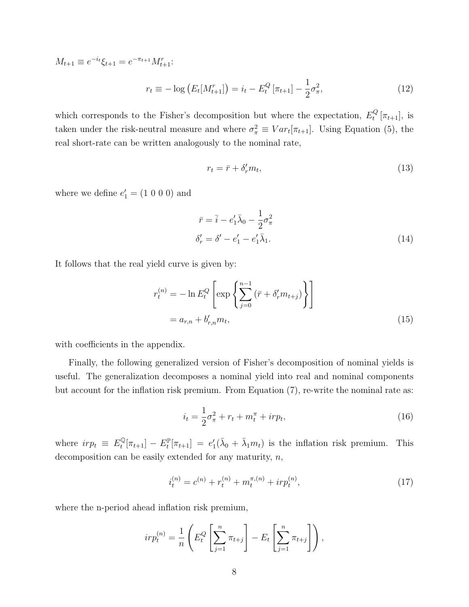$$
M_{t+1} \equiv e^{-i_t} \xi_{t+1} = e^{-\pi_{t+1}} M_{t+1}^r;
$$
  

$$
r_t \equiv -\log \left( E_t[M_{t+1}^r] \right) = i_t - E_t^Q \left[ \pi_{t+1} \right] - \frac{1}{2} \sigma_\pi^2,
$$
 (12)

which corresponds to the Fisher's decomposition but where the expectation,  $E_t^Q$  $t_t^Q$   $[\pi_{t+1}]$ , is taken under the risk-neutral measure and where  $\sigma_{\pi}^2 \equiv Var_t[\pi_{t+1}]$ . Using Equation (5), the real short-rate can be written analogously to the nominal rate,

$$
r_t = \bar{r} + \delta'_r m_t,\tag{13}
$$

where we define  $e'_{1} = (1\ 0\ 0\ 0)$  and

$$
\bar{r} = \bar{i} - e'_1 \bar{\lambda}_0 - \frac{1}{2} \sigma_\pi^2
$$
  
\n
$$
\delta'_r = \delta' - e'_1 - e'_1 \bar{\lambda}_1.
$$
\n(14)

It follows that the real yield curve is given by:

$$
r_t^{(n)} = -\ln E_t^Q \left[ \exp \left\{ \sum_{j=0}^{n-1} \left( \bar{r} + \delta'_r m_{t+j} \right) \right\} \right]
$$
  
=  $a_{r,n} + b'_{r,n} m_t$ , (15)

with coefficients in the appendix.

Finally, the following generalized version of Fisher's decomposition of nominal yields is useful. The generalization decomposes a nominal yield into real and nominal components but account for the inflation risk premium. From Equation (7), re-write the nominal rate as:

$$
i_t = \frac{1}{2}\sigma_{\pi}^2 + r_t + m_t^{\pi} + ir p_t,
$$
\n(16)

where  $irp_t \equiv E_t^{\mathbb{Q}}[\pi_{t+1}] - E_t^{\mathbb{P}}[\pi_{t+1}] = e'_1(\bar{\lambda}_0 + \bar{\lambda}_1 m_t)$  is the inflation risk premium. This decomposition can be easily extended for any maturity, *n*,

$$
i_t^{(n)} = c^{(n)} + r_t^{(n)} + m_t^{\pi,(n)} + ir p_t^{(n)},
$$
\n(17)

where the n-period ahead inflation risk premium,

$$
irp_t^{(n)} = \frac{1}{n} \left( E_t^Q \left[ \sum_{j=1}^n \pi_{t+j} \right] - E_t \left[ \sum_{j=1}^n \pi_{t+j} \right] \right),
$$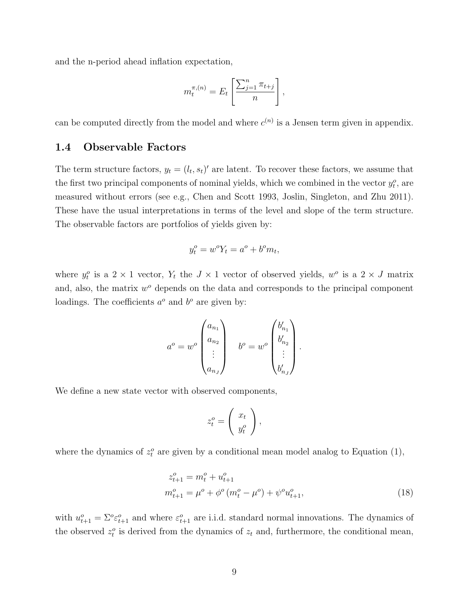and the n-period ahead inflation expectation,

$$
m_t^{\pi,(n)} = E_t \left[ \frac{\sum_{j=1}^n \pi_{t+j}}{n} \right],
$$

can be computed directly from the model and where  $c^{(n)}$  is a Jensen term given in appendix.

#### **1.4 Observable Factors**

The term structure factors,  $y_t = (l_t, s_t)'$  are latent. To recover these factors, we assume that the first two principal components of nominal yields, which we combined in the vector  $y_t^o$ , are measured without errors (see e.g., Chen and Scott 1993, Joslin, Singleton, and Zhu 2011). These have the usual interpretations in terms of the level and slope of the term structure. The observable factors are portfolios of yields given by:

$$
y_t^o = w^o Y_t = a^o + b^o m_t,
$$

where  $y_t^o$  is a 2 × 1 vector,  $Y_t$  the  $J \times 1$  vector of observed yields,  $w^o$  is a 2 × *J* matrix and, also, the matrix  $w^o$  depends on the data and corresponds to the principal component loadings. The coefficients  $a^o$  and  $b^o$  are given by:

$$
a^{o} = w^{o} \begin{pmatrix} a_{n_1} \\ a_{n_2} \\ \vdots \\ a_{n_J} \end{pmatrix} \quad b^{o} = w^{o} \begin{pmatrix} b'_{n_1} \\ b'_{n_2} \\ \vdots \\ b'_{n_J} \end{pmatrix}.
$$

We define a new state vector with observed components,

$$
z_t^o = \left(\begin{array}{c} x_t \\ y_t^o \end{array}\right),
$$

where the dynamics of  $z_t^o$  are given by a conditional mean model analog to Equation (1),

$$
z_{t+1}^o = m_t^o + u_{t+1}^o
$$
  
\n
$$
m_{t+1}^o = \mu^o + \phi^o \left( m_t^o - \mu^o \right) + \psi^o u_{t+1}^o,
$$
\n(18)

with  $u_{t+1}^o = \sum^o \varepsilon_{t+1}^o$  and where  $\varepsilon_{t+1}^o$  are i.i.d. standard normal innovations. The dynamics of the observed  $z_t^o$  is derived from the dynamics of  $z_t$  and, furthermore, the conditional mean,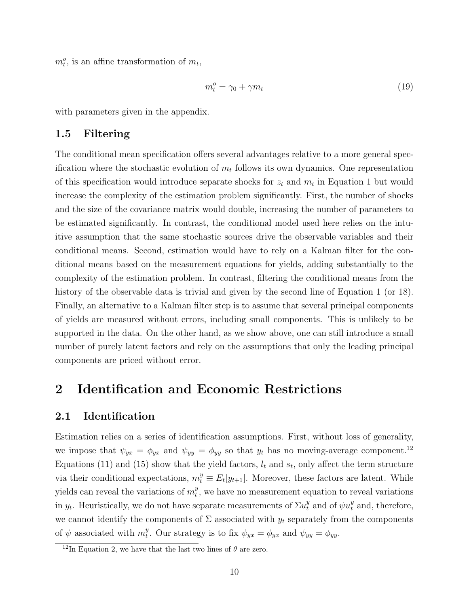$m_t^o$ , is an affine transformation of  $m_t$ ,

$$
m_t^o = \gamma_0 + \gamma m_t \tag{19}
$$

with parameters given in the appendix.

#### **1.5 Filtering**

The conditional mean specification offers several advantages relative to a more general specification where the stochastic evolution of  $m_t$  follows its own dynamics. One representation of this specification would introduce separate shocks for *z<sup>t</sup>* and *m<sup>t</sup>* in Equation 1 but would increase the complexity of the estimation problem significantly. First, the number of shocks and the size of the covariance matrix would double, increasing the number of parameters to be estimated significantly. In contrast, the conditional model used here relies on the intuitive assumption that the same stochastic sources drive the observable variables and their conditional means. Second, estimation would have to rely on a Kalman filter for the conditional means based on the measurement equations for yields, adding substantially to the complexity of the estimation problem. In contrast, filtering the conditional means from the history of the observable data is trivial and given by the second line of Equation 1 (or 18). Finally, an alternative to a Kalman filter step is to assume that several principal components of yields are measured without errors, including small components. This is unlikely to be supported in the data. On the other hand, as we show above, one can still introduce a small number of purely latent factors and rely on the assumptions that only the leading principal components are priced without error.

## **2 Identification and Economic Restrictions**

#### **2.1 Identification**

Estimation relies on a series of identification assumptions. First, without loss of generality, we impose that  $\psi_{yx} = \phi_{yx}$  and  $\psi_{yy} = \phi_{yy}$  so that  $y_t$  has no moving-average component.<sup>12</sup> Equations (11) and (15) show that the yield factors,  $l_t$  and  $s_t$ , only affect the term structure via their conditional expectations,  $m_t^y \equiv E_t[y_{t+1}]$ . Moreover, these factors are latent. While yields can reveal the variations of *m y*  $t<sub>t</sub>$ , we have no measurement equation to reveal variations in  $y_t$ . Heuristically, we do not have separate measurements of  $\Sigma u_t^y$  and of  $\psi u_t^y$  and, therefore, we cannot identify the components of  $\Sigma$  associated with  $y_t$  separately from the components of  $\psi$  associated with  $m_t^y$ <sup>*y*</sup>. Our strategy is to fix  $\psi_{yx} = \phi_{yx}$  and  $\psi_{yy} = \phi_{yy}$ .

<sup>&</sup>lt;sup>12</sup>In Equation 2, we have that the last two lines of  $\theta$  are zero.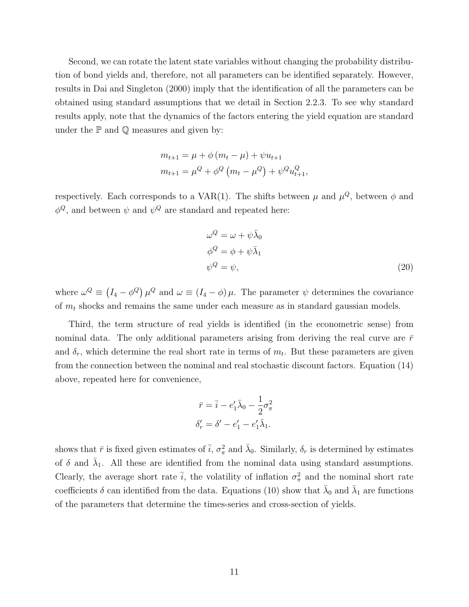Second, we can rotate the latent state variables without changing the probability distribution of bond yields and, therefore, not all parameters can be identified separately. However, results in Dai and Singleton (2000) imply that the identification of all the parameters can be obtained using standard assumptions that we detail in Section 2.2.3. To see why standard results apply, note that the dynamics of the factors entering the yield equation are standard under the  $P$  and  $Q$  measures and given by:

$$
m_{t+1} = \mu + \phi (m_t - \mu) + \psi u_{t+1}
$$
  

$$
m_{t+1} = \mu^Q + \phi^Q (m_t - \mu^Q) + \psi^Q u_{t+1}^Q,
$$

respectively. Each corresponds to a  $VAR(1)$ . The shifts between  $\mu$  and  $\mu^Q$ , between  $\phi$  and  $\phi^Q$ , and between  $\psi$  and  $\psi^Q$  are standard and repeated here:

$$
\omega^{Q} = \omega + \psi \bar{\lambda}_{0}
$$
  
\n
$$
\phi^{Q} = \phi + \psi \bar{\lambda}_{1}
$$
  
\n
$$
\psi^{Q} = \psi,
$$
\n(20)

where  $\omega^Q \equiv (I_4 - \phi^Q) \mu^Q$  and  $\omega \equiv (I_4 - \phi) \mu$ . The parameter  $\psi$  determines the covariance of *m<sup>t</sup>* shocks and remains the same under each measure as in standard gaussian models.

Third, the term structure of real yields is identified (in the econometric sense) from nominal data. The only additional parameters arising from deriving the real curve are  $\bar{r}$ and  $\delta_r$ , which determine the real short rate in terms of  $m_t$ . But these parameters are given from the connection between the nominal and real stochastic discount factors. Equation (14) above, repeated here for convenience,

$$
\bar{r} = \bar{i} - e'_1 \bar{\lambda}_0 - \frac{1}{2} \sigma_{\pi}^2
$$

$$
\delta'_r = \delta' - e'_1 - e'_1 \bar{\lambda}_1.
$$

shows that  $\bar{r}$  is fixed given estimates of  $\bar{i}$ ,  $\sigma_{\pi}^2$  and  $\bar{\lambda}_0$ . Similarly,  $\delta_r$  is determined by estimates of  $\delta$  and  $\bar{\lambda}_1$ . All these are identified from the nominal data using standard assumptions. Clearly, the average short rate  $\bar{i}$ , the volatility of inflation  $\sigma_{\pi}^2$  and the nominal short rate coefficients  $\delta$  can identified from the data. Equations (10) show that  $\bar{\lambda}_0$  and  $\bar{\lambda}_1$  are functions of the parameters that determine the times-series and cross-section of yields.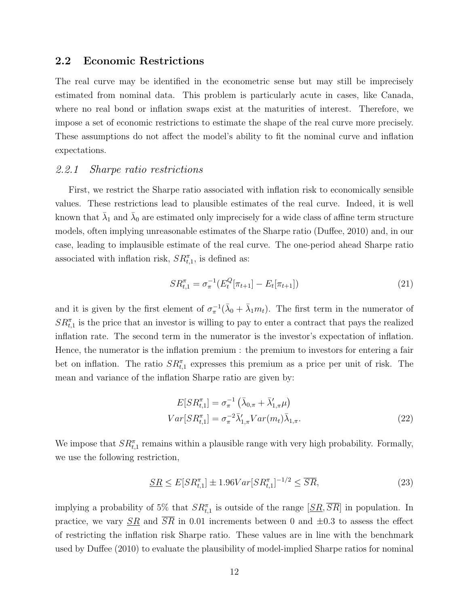#### **2.2 Economic Restrictions**

The real curve may be identified in the econometric sense but may still be imprecisely estimated from nominal data. This problem is particularly acute in cases, like Canada, where no real bond or inflation swaps exist at the maturities of interest. Therefore, we impose a set of economic restrictions to estimate the shape of the real curve more precisely. These assumptions do not affect the model's ability to fit the nominal curve and inflation expectations.

#### *2.2.1 Sharpe ratio restrictions*

First, we restrict the Sharpe ratio associated with inflation risk to economically sensible values. These restrictions lead to plausible estimates of the real curve. Indeed, it is well known that  $\bar{\lambda}_1$  and  $\bar{\lambda}_0$  are estimated only imprecisely for a wide class of affine term structure models, often implying unreasonable estimates of the Sharpe ratio (Duffee, 2010) and, in our case, leading to implausible estimate of the real curve. The one-period ahead Sharpe ratio associated with inflation risk,  $SR_{t,1}^{\pi}$ , is defined as:

$$
SR_{t,1}^{\pi} = \sigma_{\pi}^{-1} (E_t^Q[\pi_{t+1}] - E_t[\pi_{t+1}])
$$
\n(21)

and it is given by the first element of  $\sigma_{\pi}^{-1}(\bar{\lambda}_0 + \bar{\lambda}_1 m_t)$ . The first term in the numerator of  $SR<sub>t,1</sub><sup>\pi</sup>$  is the price that an investor is willing to pay to enter a contract that pays the realized inflation rate. The second term in the numerator is the investor's expectation of inflation. Hence, the numerator is the inflation premium : the premium to investors for entering a fair bet on inflation. The ratio  $SR^{\pi}_{t,1}$  expresses this premium as a price per unit of risk. The mean and variance of the inflation Sharpe ratio are given by:

$$
E[SR_{t,1}^{\pi}] = \sigma_{\pi}^{-1} \left( \bar{\lambda}_{0,\pi} + \bar{\lambda}'_{1,\pi} \mu \right)
$$
  

$$
Var[SR_{t,1}^{\pi}] = \sigma_{\pi}^{-2} \bar{\lambda}'_{1,\pi} Var(m_t) \bar{\lambda}_{1,\pi}.
$$
 (22)

We impose that  $SR_{t,1}^{\pi}$  remains within a plausible range with very high probability. Formally, we use the following restriction,

$$
\underline{SR} \le E[SR_{t,1}^{\pi}] \pm 1.96Var[SR_{t,1}^{\pi}]^{-1/2} \le \overline{SR},\tag{23}
$$

implying a probability of 5% that  $SR_{t,1}^{\pi}$  is outside of the range  $[SR, \overline{SR}]$  in population. In practice, we vary  $\overline{SR}$  and  $\overline{SR}$  in 0.01 increments between 0 and  $\pm 0.3$  to assess the effect of restricting the inflation risk Sharpe ratio. These values are in line with the benchmark used by Duffee (2010) to evaluate the plausibility of model-implied Sharpe ratios for nominal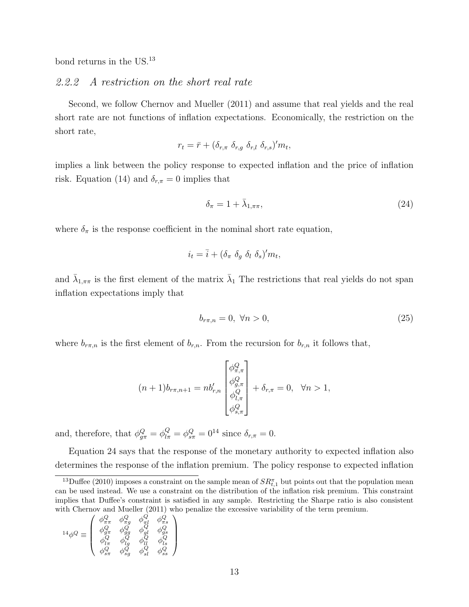bond returns in the US.<sup>13</sup>

#### *2.2.2 A restriction on the short real rate*

Second, we follow Chernov and Mueller (2011) and assume that real yields and the real short rate are not functions of inflation expectations. Economically, the restriction on the short rate,

$$
r_t = \bar{r} + (\delta_{r,\pi} \, \delta_{r,g} \, \delta_{r,l} \, \delta_{r,s})' m_t,
$$

implies a link between the policy response to expected inflation and the price of inflation risk. Equation (14) and  $\delta_{r,\pi} = 0$  implies that

$$
\delta_{\pi} = 1 + \bar{\lambda}_{1,\pi\pi},\tag{24}
$$

where  $\delta_{\pi}$  is the response coefficient in the nominal short rate equation,

$$
i_t = \bar{i} + (\delta_\pi \ \delta_g \ \delta_l \ \delta_s)' m_t,
$$

and  $\bar{\lambda}_{1,\pi\pi}$  is the first element of the matrix  $\bar{\lambda}_1$  The restrictions that real yields do not span inflation expectations imply that

$$
b_{r\pi,n} = 0, \ \forall n > 0,\tag{25}
$$

where  $b_{r\pi,n}$  is the first element of  $b_{r,n}$ . From the recursion for  $b_{r,n}$  it follows that,

$$
(n+1)b_{r\pi,n+1} = nb'_{r,n} \begin{bmatrix} \phi_{\pi,\pi}^Q \\ \phi_{g,\pi}^Q \\ \phi_{l,\pi}^Q \\ \phi_{s,\pi}^Q \end{bmatrix} + \delta_{r,\pi} = 0, \quad \forall n > 1,
$$

and, therefore, that  $\phi_{g\pi}^Q = \phi_{l\pi}^Q = \phi_{s\pi}^Q = 0^{14}$  since  $\delta_{r,\pi} = 0$ .

Equation 24 says that the response of the monetary authority to expected inflation also determines the response of the inflation premium. The policy response to expected inflation

$$
^{14}\phi^{Q}\equiv\left(\begin{array}{cccc} \phi_{\pi\pi}^{Q} & \phi_{\pi g}^{Q} & \phi_{\pi l}^{Q} & \phi_{\pi s}^{Q}\\ \phi_{g\pi}^{Q} & \phi_{gg}^{Q} & \phi_{g l}^{Q} & \phi_{g s}^{Q}\\ \phi_{l\pi}^{Q} & \phi_{lg}^{Q} & \phi_{l l}^{Q} & \phi_{s}^{Q}\\ \phi_{s\pi}^{Q} & \phi_{s g}^{Q} & \phi_{s l}^{Q} & \phi_{s s}^{Q} \end{array}\right)
$$

<sup>&</sup>lt;sup>13</sup>Duffee (2010) imposes a constraint on the sample mean of  $SR^{\pi}_{t,1}$  but points out that the population mean can be used instead. We use a constraint on the distribution of the inflation risk premium. This constraint implies that Duffee's constraint is satisfied in any sample. Restricting the Sharpe ratio is also consistent with Chernov and Mueller (2011) who penalize the excessive variability of the term premium.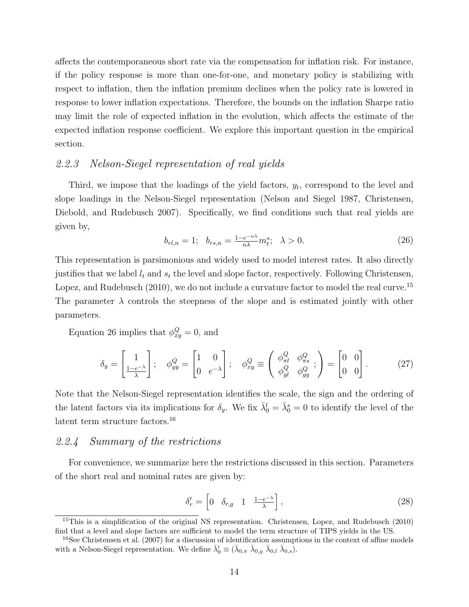affects the contemporaneous short rate via the compensation for inflation risk. For instance, if the policy response is more than one-for-one, and monetary policy is stabilizing with respect to inflation, then the inflation premium declines when the policy rate is lowered in response to lower inflation expectations. Therefore, the bounds on the inflation Sharpe ratio may limit the role of expected inflation in the evolution, which affects the estimate of the expected inflation response coefficient. We explore this important question in the empirical section.

#### *2.2.3 Nelson-Siegel representation of real yields*

Third, we impose that the loadings of the yield factors, *y<sup>t</sup>* , correspond to the level and slope loadings in the Nelson-Siegel representation (Nelson and Siegel 1987, Christensen, Diebold, and Rudebusch 2007). Specifically, we find conditions such that real yields are given by,

$$
b_{rl,n} = 1; \quad b_{rs,n} = \frac{1 - e^{-n\lambda}}{n\lambda} m_t^s; \quad \lambda > 0. \tag{26}
$$

This representation is parsimonious and widely used to model interest rates. It also directly justifies that we label  $l_t$  and  $s_t$  the level and slope factor, respectively. Following Christensen, Lopez, and Rudebusch (2010), we do not include a curvature factor to model the real curve.<sup>15</sup> The parameter  $\lambda$  controls the steepness of the slope and is estimated jointly with other parameters.

Equation 26 implies that  $\phi_{xy}^Q = 0$ , and

$$
\delta_y = \begin{bmatrix} 1 \\ \frac{1 - e^{-\lambda}}{\lambda} \end{bmatrix}; \quad \phi_{yy}^Q = \begin{bmatrix} 1 & 0 \\ 0 & e^{-\lambda} \end{bmatrix}; \quad \phi_{xy}^Q \equiv \begin{pmatrix} \phi_{\pi l}^Q & \phi_{\pi s}^Q \\ \phi_{gl}^Q & \phi_{gg}^Q \end{pmatrix} = \begin{bmatrix} 0 & 0 \\ 0 & 0 \end{bmatrix}.
$$
 (27)

Note that the Nelson-Siegel representation identifies the scale, the sign and the ordering of the latent factors via its implications for  $\delta_y$ . We fix  $\bar{\lambda}_0^l = \bar{\lambda}_0^s = 0$  to identify the level of the latent term structure factors.<sup>16</sup>

## *2.2.4 Summary of the restrictions*

For convenience, we summarize here the restrictions discussed in this section. Parameters of the short real and nominal rates are given by:

$$
\delta'_r = \begin{bmatrix} 0 & \delta_{r,g} & 1 & \frac{1-e^{-\lambda}}{\lambda} \end{bmatrix},\tag{28}
$$

<sup>&</sup>lt;sup>15</sup>This is a simplification of the original NS representation. Christensen, Lopez, and Rudebusch (2010) find that a level and slope factors are sufficient to model the term structure of TIPS yields in the US.

 $^{16}$ See Christensen et al. (2007) for a discussion of identification assumptions in the context of affine models with a Nelson-Siegel representation. We define  $\bar{\lambda}'_0 \equiv (\bar{\lambda}_{0,\pi} \ \bar{\lambda}_{0,g} \ \bar{\lambda}_{0,l} \ \bar{\lambda}_{0,s}).$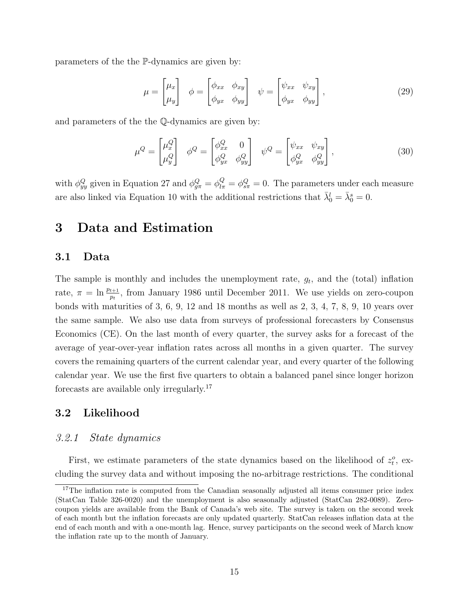parameters of the the P-dynamics are given by:

$$
\mu = \begin{bmatrix} \mu_x \\ \mu_y \end{bmatrix} \quad \phi = \begin{bmatrix} \phi_{xx} & \phi_{xy} \\ \phi_{yx} & \phi_{yy} \end{bmatrix} \quad \psi = \begin{bmatrix} \psi_{xx} & \psi_{xy} \\ \phi_{yx} & \phi_{yy} \end{bmatrix}, \tag{29}
$$

and parameters of the the Q-dynamics are given by:

$$
\mu^Q = \begin{bmatrix} \mu_x^Q \\ \mu_y^Q \end{bmatrix} \quad \phi^Q = \begin{bmatrix} \phi_{xx}^Q & 0 \\ \phi_{yx}^Q & \phi_{yy}^Q \end{bmatrix} \quad \psi^Q = \begin{bmatrix} \psi_{xx} & \psi_{xy} \\ \phi_{yx}^Q & \phi_{yy}^Q \end{bmatrix}, \tag{30}
$$

with  $\phi_{yy}^Q$  given in Equation 27 and  $\phi_{g\pi}^Q = \phi_{l\pi}^Q = \phi_{s\pi}^Q = 0$ . The parameters under each measure are also linked via Equation 10 with the additional restrictions that  $\bar{\lambda}_0^l = \bar{\lambda}_0^s = 0$ .

## **3 Data and Estimation**

#### **3.1 Data**

The sample is monthly and includes the unemployment rate, *g<sup>t</sup>* , and the (total) inflation rate,  $\pi = \ln \frac{p_{t+1}}{p_t}$ , from January 1986 until December 2011. We use yields on zero-coupon bonds with maturities of 3, 6, 9, 12 and 18 months as well as 2, 3, 4, 7, 8, 9, 10 years over the same sample. We also use data from surveys of professional forecasters by Consensus Economics (CE). On the last month of every quarter, the survey asks for a forecast of the average of year-over-year inflation rates across all months in a given quarter. The survey covers the remaining quarters of the current calendar year, and every quarter of the following calendar year. We use the first five quarters to obtain a balanced panel since longer horizon forecasts are available only irregularly.<sup>17</sup>

#### **3.2 Likelihood**

#### *3.2.1 State dynamics*

First, we estimate parameters of the state dynamics based on the likelihood of  $z_t^o$ , excluding the survey data and without imposing the no-arbitrage restrictions. The conditional

<sup>&</sup>lt;sup>17</sup>The inflation rate is computed from the Canadian seasonally adjusted all items consumer price index (StatCan Table 326-0020) and the unemployment is also seasonally adjusted (StatCan 282-0089). Zerocoupon yields are available from the Bank of Canada's web site. The survey is taken on the second week of each month but the inflation forecasts are only updated quarterly. StatCan releases inflation data at the end of each month and with a one-month lag. Hence, survey participants on the second week of March know the inflation rate up to the month of January.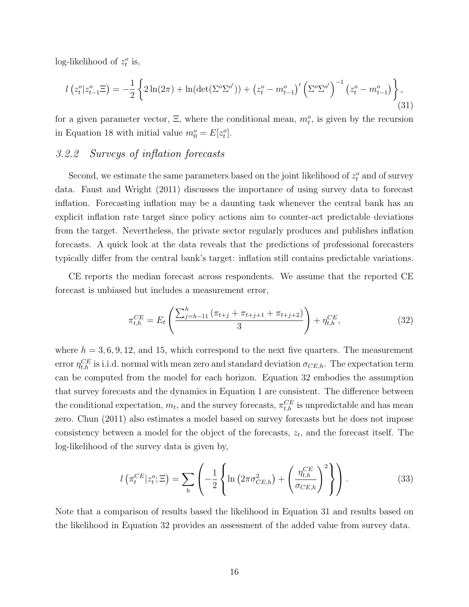log-likelihood of  $z_t^o$  is,

$$
l(z_t^o | z_{t-1}^o \Xi) = -\frac{1}{2} \left\{ 2\ln(2\pi) + \ln(\det(\Sigma^o \Sigma^{o'})) + (z_t^o - m_{t-1}^o)' \left( \Sigma^o \Sigma^{o'} \right)^{-1} (z_t^o - m_{t-1}^o) \right\},\tag{31}
$$

for a given parameter vector,  $\Xi$ , where the conditional mean,  $m_t^o$ , is given by the recursion in Equation 18 with initial value  $m_0^o = E[z_t^o]$ .

## *3.2.2 Surveys of inflation forecasts*

Second, we estimate the same parameters based on the joint likelihood of  $z_t^o$  and of survey data. Faust and Wright (2011) discusses the importance of using survey data to forecast inflation. Forecasting inflation may be a daunting task whenever the central bank has an explicit inflation rate target since policy actions aim to counter-act predictable deviations from the target. Nevertheless, the private sector regularly produces and publishes inflation forecasts. A quick look at the data reveals that the predictions of professional forecasters typically differ from the central bank's target: inflation still contains predictable variations.

CE reports the median forecast across respondents. We assume that the reported CE forecast is unbiased but includes a measurement error,

$$
\pi_{t,h}^{CE} = E_t \left( \frac{\sum_{j=h-11}^h (\pi_{t+j} + \pi_{t+j+1} + \pi_{t+j+2})}{3} \right) + \eta_{t,h}^{CE},\tag{32}
$$

where  $h = 3, 6, 9, 12$ , and 15, which correspond to the next five quarters. The measurement error  $\eta_{t,h}^{CE}$  is i.i.d. normal with mean zero and standard deviation  $\sigma_{CE,h}$ . The expectation term can be computed from the model for each horizon. Equation 32 embodies the assumption that survey forecasts and the dynamics in Equation 1 are consistent. The difference between the conditional expectation,  $m_t$ , and the survey forecasts,  $\pi_{t,h}^{CE}$  is unpredictable and has mean zero. Chun (2011) also estimates a model based on survey forecasts but he does not impose consistency between a model for the object of the forecasts, *z<sup>t</sup>* , and the forecast itself. The log-likelihood of the survey data is given by,

$$
l\left(\pi_t^{CE}|z_t^o;\Xi\right) = \sum_h \left(-\frac{1}{2}\left\{\ln\left(2\pi\sigma_{CE,h}^2\right) + \left(\frac{\eta_{t,h}^{CE}}{\sigma_{CE,h}}\right)^2\right\}\right). \tag{33}
$$

Note that a comparison of results based the likelihood in Equation 31 and results based on the likelihood in Equation 32 provides an assessment of the added value from survey data.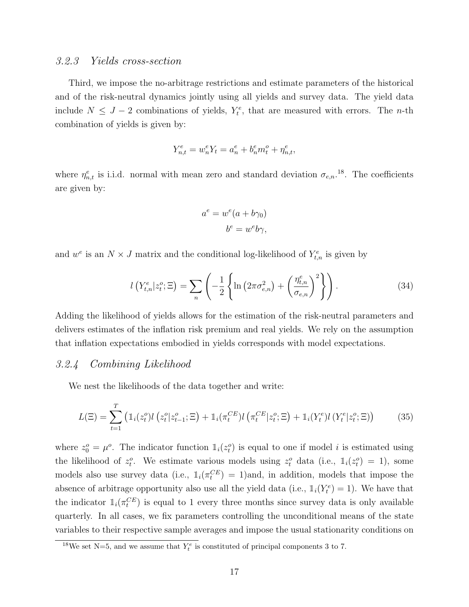#### *3.2.3 Yields cross-section*

Third, we impose the no-arbitrage restrictions and estimate parameters of the historical and of the risk-neutral dynamics jointly using all yields and survey data. The yield data include  $N \leq J - 2$  combinations of yields,  $Y_t^e$ , that are measured with errors. The *n*-th combination of yields is given by:

$$
Y_{n,t}^e = w_n^e Y_t = a_n^e + b_n^e m_t^o + \eta_{n,t}^e,
$$

where  $\eta_{n,t}^e$  is i.i.d. normal with mean zero and standard deviation  $\sigma_{e,n}$ <sup>18</sup>. The coefficients are given by:

$$
a^e = w^e(a + b\gamma_0)
$$

$$
b^e = w^e b\gamma,
$$

and  $w^e$  is an  $N \times J$  matrix and the conditional log-likelihood of  $Y_{t,n}^e$  is given by

$$
l\left(Y_{t,n}^e|z_t^o;\Xi\right) = \sum_n \left(-\frac{1}{2}\left\{\ln\left(2\pi\sigma_{e,n}^2\right) + \left(\frac{\eta_{t,n}^e}{\sigma_{e,n}}\right)^2\right\}\right). \tag{34}
$$

Adding the likelihood of yields allows for the estimation of the risk-neutral parameters and delivers estimates of the inflation risk premium and real yields. We rely on the assumption that inflation expectations embodied in yields corresponds with model expectations.

#### *3.2.4 Combining Likelihood*

We nest the likelihoods of the data together and write:

$$
L(\Xi) = \sum_{t=1}^{T} \left( \mathbb{1}_{i}(z_{t}^{o}) l\left(z_{t}^{o} | z_{t-1}^{o}; \Xi\right) + \mathbb{1}_{i}(\pi_{t}^{CE}) l\left(\pi_{t}^{CE} | z_{t}^{o}; \Xi\right) + \mathbb{1}_{i}(Y_{t}^{e}) l\left(Y_{t}^{e} | z_{t}^{o}; \Xi\right) \right)
$$
(35)

where  $z_0^o = \mu^o$ . The indicator function  $\mathbb{1}_i(z_i^o)$  is equal to one if model *i* is estimated using the likelihood of  $z_t^o$ . We estimate various models using  $z_t^o$  data (i.e.,  $\mathbb{I}_i(z_t^o) = 1$ ), some models also use survey data (i.e.,  $\mathbb{1}_i(\pi_t^{CE}) = 1$ ) and, in addition, models that impose the absence of arbitrage opportunity also use all the yield data (i.e.,  $\mathbb{I}_i(Y_t^e) = 1$ ). We have that the indicator  $\mathbb{1}_i(\pi_t^{CE})$  is equal to 1 every three months since survey data is only available quarterly. In all cases, we fix parameters controlling the unconditional means of the state variables to their respective sample averages and impose the usual stationarity conditions on

<sup>&</sup>lt;sup>18</sup>We set N=5, and we assume that  $Y_t^e$  is constituted of principal components 3 to 7.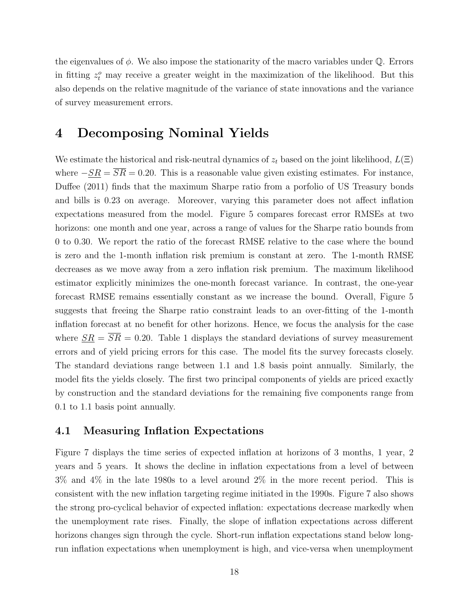the eigenvalues of *ϕ*. We also impose the stationarity of the macro variables under Q. Errors in fitting  $z_t^o$  may receive a greater weight in the maximization of the likelihood. But this also depends on the relative magnitude of the variance of state innovations and the variance of survey measurement errors.

## **4 Decomposing Nominal Yields**

We estimate the historical and risk-neutral dynamics of *z<sup>t</sup>* based on the joint likelihood, *L*(Ξ) where  $-\underline{SR} = \overline{SR} = 0.20$ . This is a reasonable value given existing estimates. For instance, Duffee (2011) finds that the maximum Sharpe ratio from a porfolio of US Treasury bonds and bills is 0.23 on average. Moreover, varying this parameter does not affect inflation expectations measured from the model. Figure 5 compares forecast error RMSEs at two horizons: one month and one year, across a range of values for the Sharpe ratio bounds from 0 to 0.30. We report the ratio of the forecast RMSE relative to the case where the bound is zero and the 1-month inflation risk premium is constant at zero. The 1-month RMSE decreases as we move away from a zero inflation risk premium. The maximum likelihood estimator explicitly minimizes the one-month forecast variance. In contrast, the one-year forecast RMSE remains essentially constant as we increase the bound. Overall, Figure 5 suggests that freeing the Sharpe ratio constraint leads to an over-fitting of the 1-month inflation forecast at no benefit for other horizons. Hence, we focus the analysis for the case where  $\underline{SR} = \overline{SR} = 0.20$ . Table 1 displays the standard deviations of survey measurement errors and of yield pricing errors for this case. The model fits the survey forecasts closely. The standard deviations range between 1.1 and 1.8 basis point annually. Similarly, the model fits the yields closely. The first two principal components of yields are priced exactly by construction and the standard deviations for the remaining five components range from 0.1 to 1.1 basis point annually.

#### **4.1 Measuring Inflation Expectations**

Figure 7 displays the time series of expected inflation at horizons of 3 months, 1 year, 2 years and 5 years. It shows the decline in inflation expectations from a level of between 3% and 4% in the late 1980s to a level around 2% in the more recent period. This is consistent with the new inflation targeting regime initiated in the 1990s. Figure 7 also shows the strong pro-cyclical behavior of expected inflation: expectations decrease markedly when the unemployment rate rises. Finally, the slope of inflation expectations across different horizons changes sign through the cycle. Short-run inflation expectations stand below longrun inflation expectations when unemployment is high, and vice-versa when unemployment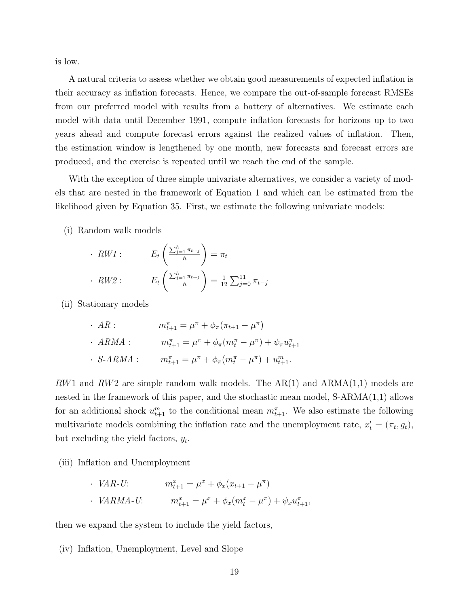is low.

A natural criteria to assess whether we obtain good measurements of expected inflation is their accuracy as inflation forecasts. Hence, we compare the out-of-sample forecast RMSEs from our preferred model with results from a battery of alternatives. We estimate each model with data until December 1991, compute inflation forecasts for horizons up to two years ahead and compute forecast errors against the realized values of inflation. Then, the estimation window is lengthened by one month, new forecasts and forecast errors are produced, and the exercise is repeated until we reach the end of the sample.

With the exception of three simple univariate alternatives, we consider a variety of models that are nested in the framework of Equation 1 and which can be estimated from the likelihood given by Equation 35. First, we estimate the following univariate models:

(i) Random walk models

| $\cdot$ RW1 : | $E_t\left(\frac{\sum_{j=1}^h\pi_{t+j}}{h}\right)=\pi_t$                                     |
|---------------|---------------------------------------------------------------------------------------------|
| $\cdot$ RW2 : | $E_t\left(\frac{\sum_{j=1}^h \pi_{t+j}}{h}\right) = \frac{1}{12} \sum_{j=0}^{11} \pi_{t-j}$ |

(ii) Stationary models

| $\cdot$ AR :     | $m_{t+1}^{\pi} = \mu^{\pi} + \phi_{\pi}(\pi_{t+1} - \mu^{\pi})$                           |
|------------------|-------------------------------------------------------------------------------------------|
| $\cdot$ ARMA :   | $m_{t+1}^{\pi} = \mu^{\pi} + \phi_{\pi}(m_t^{\pi} - \mu^{\pi}) + \psi_{\pi}u_{t+1}^{\pi}$ |
| $\cdot$ S-ARMA : | $m_{t+1}^{\pi} = \mu^{\pi} + \phi_{\pi}(m_t^{\pi} - \mu^{\pi}) + u_{t+1}^m$ .             |

*RW*1 and *RW*2 are simple random walk models. The AR(1) and ARMA(1,1) models are nested in the framework of this paper, and the stochastic mean model, S-ARMA(1,1) allows for an additional shock  $u_{t+1}^m$  to the conditional mean  $m_{t+1}^{\pi}$ . We also estimate the following multivariate models combining the inflation rate and the unemployment rate,  $x'_{t} = (\pi_{t}, g_{t}),$ but excluding the yield factors, *y<sup>t</sup>* .

(iii) Inflation and Unemployment

*· VAR-U*:  $m_{t+1}^x = \mu^x + \phi_x(x_{t+1} - \mu^{\pi})$ *· VARMA-U*:  $m_{t+1}^x = \mu^x + \phi_x(m_t^x - \mu^{\pi}) + \psi_x u_{t+1}^{\pi}$ 

then we expand the system to include the yield factors,

(iv) Inflation, Unemployment, Level and Slope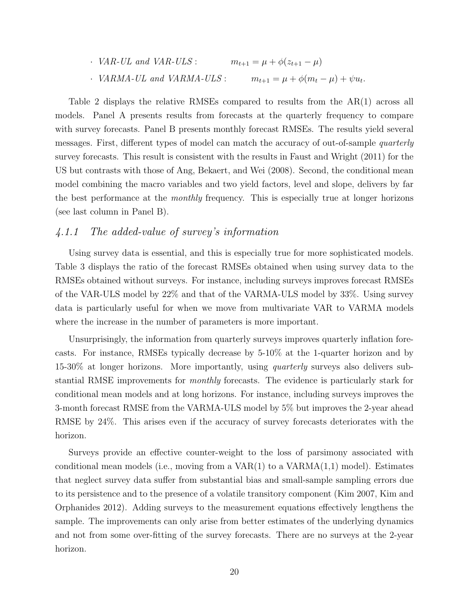\n- $$
VAR\text{-}UL
$$
 and  $VAR\text{-}ULS$ :\n  $m_{t+1} = \mu + \phi(z_{t+1} - \mu)$ \n
\n- $VARMA\text{-}UL$  and  $VARMA\text{-}ULS$ :\n  $m_{t+1} = \mu + \phi(m_t - \mu) + \psi u_t$

Table 2 displays the relative RMSEs compared to results from the AR(1) across all models. Panel A presents results from forecasts at the quarterly frequency to compare with survey forecasts. Panel B presents monthly forecast RMSEs. The results yield several messages. First, different types of model can match the accuracy of out-of-sample *quarterly* survey forecasts. This result is consistent with the results in Faust and Wright (2011) for the US but contrasts with those of Ang, Bekaert, and Wei (2008). Second, the conditional mean model combining the macro variables and two yield factors, level and slope, delivers by far the best performance at the *monthly* frequency. This is especially true at longer horizons (see last column in Panel B).

#### *4.1.1 The added-value of survey's information*

Using survey data is essential, and this is especially true for more sophisticated models. Table 3 displays the ratio of the forecast RMSEs obtained when using survey data to the RMSEs obtained without surveys. For instance, including surveys improves forecast RMSEs of the VAR-ULS model by 22% and that of the VARMA-ULS model by 33%. Using survey data is particularly useful for when we move from multivariate VAR to VARMA models where the increase in the number of parameters is more important.

Unsurprisingly, the information from quarterly surveys improves quarterly inflation forecasts. For instance, RMSEs typically decrease by 5-10% at the 1-quarter horizon and by 15-30% at longer horizons. More importantly, using *quarterly* surveys also delivers substantial RMSE improvements for *monthly* forecasts. The evidence is particularly stark for conditional mean models and at long horizons. For instance, including surveys improves the 3-month forecast RMSE from the VARMA-ULS model by 5% but improves the 2-year ahead RMSE by 24%. This arises even if the accuracy of survey forecasts deteriorates with the horizon.

Surveys provide an effective counter-weight to the loss of parsimony associated with conditional mean models (i.e., moving from a  $VAR(1)$  to a  $VARMA(1,1)$  model). Estimates that neglect survey data suffer from substantial bias and small-sample sampling errors due to its persistence and to the presence of a volatile transitory component (Kim 2007, Kim and Orphanides 2012). Adding surveys to the measurement equations effectively lengthens the sample. The improvements can only arise from better estimates of the underlying dynamics and not from some over-fitting of the survey forecasts. There are no surveys at the 2-year horizon.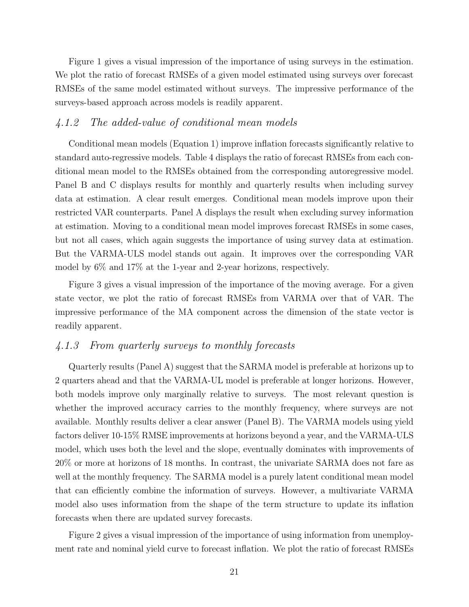Figure 1 gives a visual impression of the importance of using surveys in the estimation. We plot the ratio of forecast RMSEs of a given model estimated using surveys over forecast RMSEs of the same model estimated without surveys. The impressive performance of the surveys-based approach across models is readily apparent.

## *4.1.2 The added-value of conditional mean models*

Conditional mean models (Equation 1) improve inflation forecasts significantly relative to standard auto-regressive models. Table 4 displays the ratio of forecast RMSEs from each conditional mean model to the RMSEs obtained from the corresponding autoregressive model. Panel B and C displays results for monthly and quarterly results when including survey data at estimation. A clear result emerges. Conditional mean models improve upon their restricted VAR counterparts. Panel A displays the result when excluding survey information at estimation. Moving to a conditional mean model improves forecast RMSEs in some cases, but not all cases, which again suggests the importance of using survey data at estimation. But the VARMA-ULS model stands out again. It improves over the corresponding VAR model by 6% and 17% at the 1-year and 2-year horizons, respectively.

Figure 3 gives a visual impression of the importance of the moving average. For a given state vector, we plot the ratio of forecast RMSEs from VARMA over that of VAR. The impressive performance of the MA component across the dimension of the state vector is readily apparent.

## *4.1.3 From quarterly surveys to monthly forecasts*

Quarterly results (Panel A) suggest that the SARMA model is preferable at horizons up to 2 quarters ahead and that the VARMA-UL model is preferable at longer horizons. However, both models improve only marginally relative to surveys. The most relevant question is whether the improved accuracy carries to the monthly frequency, where surveys are not available. Monthly results deliver a clear answer (Panel B). The VARMA models using yield factors deliver 10-15% RMSE improvements at horizons beyond a year, and the VARMA-ULS model, which uses both the level and the slope, eventually dominates with improvements of 20% or more at horizons of 18 months. In contrast, the univariate SARMA does not fare as well at the monthly frequency. The SARMA model is a purely latent conditional mean model that can efficiently combine the information of surveys. However, a multivariate VARMA model also uses information from the shape of the term structure to update its inflation forecasts when there are updated survey forecasts.

Figure 2 gives a visual impression of the importance of using information from unemployment rate and nominal yield curve to forecast inflation. We plot the ratio of forecast RMSEs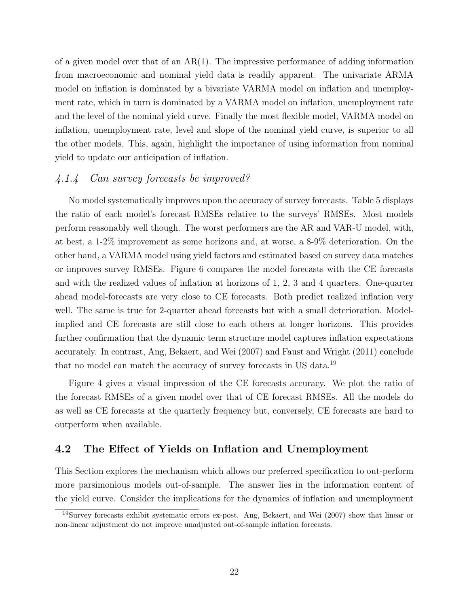of a given model over that of an  $AR(1)$ . The impressive performance of adding information from macroeconomic and nominal yield data is readily apparent. The univariate ARMA model on inflation is dominated by a bivariate VARMA model on inflation and unemployment rate, which in turn is dominated by a VARMA model on inflation, unemployment rate and the level of the nominal yield curve. Finally the most flexible model, VARMA model on inflation, unemployment rate, level and slope of the nominal yield curve, is superior to all the other models. This, again, highlight the importance of using information from nominal yield to update our anticipation of inflation.

#### *4.1.4 Can survey forecasts be improved?*

No model systematically improves upon the accuracy of survey forecasts. Table 5 displays the ratio of each model's forecast RMSEs relative to the surveys' RMSEs. Most models perform reasonably well though. The worst performers are the AR and VAR-U model, with, at best, a 1-2% improvement as some horizons and, at worse, a 8-9% deterioration. On the other hand, a VARMA model using yield factors and estimated based on survey data matches or improves survey RMSEs. Figure 6 compares the model forecasts with the CE forecasts and with the realized values of inflation at horizons of 1, 2, 3 and 4 quarters. One-quarter ahead model-forecasts are very close to CE forecasts. Both predict realized inflation very well. The same is true for 2-quarter ahead forecasts but with a small deterioration. Modelimplied and CE forecasts are still close to each others at longer horizons. This provides further confirmation that the dynamic term structure model captures inflation expectations accurately. In contrast, Ang, Bekaert, and Wei (2007) and Faust and Wright (2011) conclude that no model can match the accuracy of survey forecasts in US data.<sup>19</sup>

Figure 4 gives a visual impression of the CE forecasts accuracy. We plot the ratio of the forecast RMSEs of a given model over that of CE forecast RMSEs. All the models do as well as CE forecasts at the quarterly frequency but, conversely, CE forecasts are hard to outperform when available.

#### **4.2 The Effect of Yields on Inflation and Unemployment**

This Section explores the mechanism which allows our preferred specification to out-perform more parsimonious models out-of-sample. The answer lies in the information content of the yield curve. Consider the implications for the dynamics of inflation and unemployment

<sup>19</sup>Survey forecasts exhibit systematic errors ex-post. Ang, Bekaert, and Wei (2007) show that linear or non-linear adjustment do not improve unadjusted out-of-sample inflation forecasts.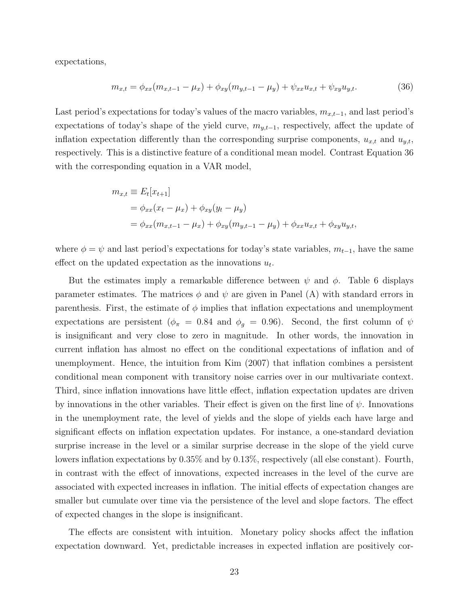expectations,

$$
m_{x,t} = \phi_{xx}(m_{x,t-1} - \mu_x) + \phi_{xy}(m_{y,t-1} - \mu_y) + \psi_{xx}u_{x,t} + \psi_{xy}u_{y,t}.
$$
 (36)

Last period's expectations for today's values of the macro variables, *mx,t−*<sup>1</sup>, and last period's expectations of today's shape of the yield curve, *my,t−*<sup>1</sup>, respectively, affect the update of inflation expectation differently than the corresponding surprise components,  $u_{x,t}$  and  $u_{y,t}$ , respectively. This is a distinctive feature of a conditional mean model. Contrast Equation 36 with the corresponding equation in a VAR model,

$$
m_{x,t} \equiv E_t[x_{t+1}]
$$
  
=  $\phi_{xx}(x_t - \mu_x) + \phi_{xy}(y_t - \mu_y)$   
=  $\phi_{xx}(m_{x,t-1} - \mu_x) + \phi_{xy}(m_{y,t-1} - \mu_y) + \phi_{xx}u_{x,t} + \phi_{xy}u_{y,t}$ ,

where  $\phi = \psi$  and last period's expectations for today's state variables,  $m_{t-1}$ , have the same effect on the updated expectation as the innovations  $u_t$ .

But the estimates imply a remarkable difference between *ψ* and *ϕ*. Table 6 displays parameter estimates. The matrices  $\phi$  and  $\psi$  are given in Panel (A) with standard errors in parenthesis. First, the estimate of  $\phi$  implies that inflation expectations and unemployment expectations are persistent ( $\phi_{\pi} = 0.84$  and  $\phi_{g} = 0.96$ ). Second, the first column of  $\psi$ is insignificant and very close to zero in magnitude. In other words, the innovation in current inflation has almost no effect on the conditional expectations of inflation and of unemployment. Hence, the intuition from Kim (2007) that inflation combines a persistent conditional mean component with transitory noise carries over in our multivariate context. Third, since inflation innovations have little effect, inflation expectation updates are driven by innovations in the other variables. Their effect is given on the first line of  $\psi$ . Innovations in the unemployment rate, the level of yields and the slope of yields each have large and significant effects on inflation expectation updates. For instance, a one-standard deviation surprise increase in the level or a similar surprise decrease in the slope of the yield curve lowers inflation expectations by 0.35% and by 0.13%, respectively (all else constant). Fourth, in contrast with the effect of innovations, expected increases in the level of the curve are associated with expected increases in inflation. The initial effects of expectation changes are smaller but cumulate over time via the persistence of the level and slope factors. The effect of expected changes in the slope is insignificant.

The effects are consistent with intuition. Monetary policy shocks affect the inflation expectation downward. Yet, predictable increases in expected inflation are positively cor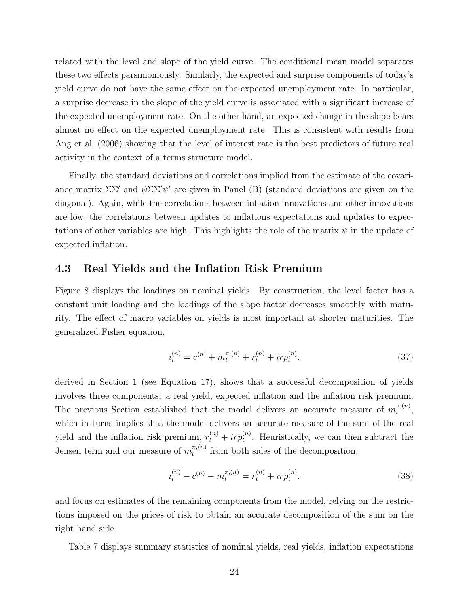related with the level and slope of the yield curve. The conditional mean model separates these two effects parsimoniously. Similarly, the expected and surprise components of today's yield curve do not have the same effect on the expected unemployment rate. In particular, a surprise decrease in the slope of the yield curve is associated with a significant increase of the expected unemployment rate. On the other hand, an expected change in the slope bears almost no effect on the expected unemployment rate. This is consistent with results from Ang et al. (2006) showing that the level of interest rate is the best predictors of future real activity in the context of a terms structure model.

Finally, the standard deviations and correlations implied from the estimate of the covariance matrix ΣΣ*′* and *ψ*ΣΣ*′ψ ′* are given in Panel (B) (standard deviations are given on the diagonal). Again, while the correlations between inflation innovations and other innovations are low, the correlations between updates to inflations expectations and updates to expectations of other variables are high. This highlights the role of the matrix  $\psi$  in the update of expected inflation.

#### **4.3 Real Yields and the Inflation Risk Premium**

Figure 8 displays the loadings on nominal yields. By construction, the level factor has a constant unit loading and the loadings of the slope factor decreases smoothly with maturity. The effect of macro variables on yields is most important at shorter maturities. The generalized Fisher equation,

$$
i_t^{(n)} = c^{(n)} + m_t^{\pi,(n)} + r_t^{(n)} + ir p_t^{(n)},
$$
\n(37)

derived in Section 1 (see Equation 17), shows that a successful decomposition of yields involves three components: a real yield, expected inflation and the inflation risk premium. The previous Section established that the model delivers an accurate measure of  $m_t^{\pi,(n)}$  $\frac{\pi, (n)}{t},$ which in turns implies that the model delivers an accurate measure of the sum of the real yield and the inflation risk premium,  $r_t^{(n)} + i r p_t^{(n)}$ . Heuristically, we can then subtract the Jensen term and our measure of  $m_t^{\pi,(n)}$  $t^{(n)}$  from both sides of the decomposition,

$$
i_t^{(n)} - c^{(n)} - m_t^{\pi,(n)} = r_t^{(n)} + ir p_t^{(n)}.
$$
\n(38)

and focus on estimates of the remaining components from the model, relying on the restrictions imposed on the prices of risk to obtain an accurate decomposition of the sum on the right hand side.

Table 7 displays summary statistics of nominal yields, real yields, inflation expectations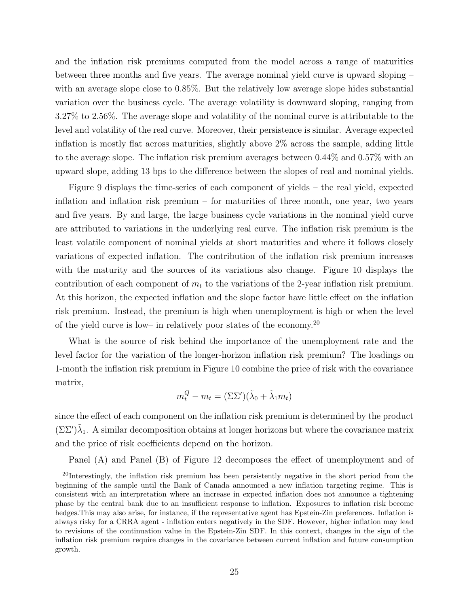and the inflation risk premiums computed from the model across a range of maturities between three months and five years. The average nominal yield curve is upward sloping – with an average slope close to 0.85%. But the relatively low average slope hides substantial variation over the business cycle. The average volatility is downward sloping, ranging from 3.27% to 2.56%. The average slope and volatility of the nominal curve is attributable to the level and volatility of the real curve. Moreover, their persistence is similar. Average expected inflation is mostly flat across maturities, slightly above 2% across the sample, adding little to the average slope. The inflation risk premium averages between 0.44% and 0.57% with an upward slope, adding 13 bps to the difference between the slopes of real and nominal yields.

Figure 9 displays the time-series of each component of yields – the real yield, expected inflation and inflation risk premium – for maturities of three month, one year, two years and five years. By and large, the large business cycle variations in the nominal yield curve are attributed to variations in the underlying real curve. The inflation risk premium is the least volatile component of nominal yields at short maturities and where it follows closely variations of expected inflation. The contribution of the inflation risk premium increases with the maturity and the sources of its variations also change. Figure 10 displays the contribution of each component of *m<sup>t</sup>* to the variations of the 2-year inflation risk premium. At this horizon, the expected inflation and the slope factor have little effect on the inflation risk premium. Instead, the premium is high when unemployment is high or when the level of the yield curve is low– in relatively poor states of the economy.<sup>20</sup>

What is the source of risk behind the importance of the unemployment rate and the level factor for the variation of the longer-horizon inflation risk premium? The loadings on 1-month the inflation risk premium in Figure 10 combine the price of risk with the covariance matrix,

$$
m_t^Q - m_t = (\Sigma \Sigma')(\tilde{\lambda}_0 + \tilde{\lambda}_1 m_t)
$$

since the effect of each component on the inflation risk premium is determined by the product  $(\Sigma\Sigma')\tilde{\lambda}_1$ . A similar decomposition obtains at longer horizons but where the covariance matrix and the price of risk coefficients depend on the horizon.

Panel (A) and Panel (B) of Figure 12 decomposes the effect of unemployment and of

<sup>&</sup>lt;sup>20</sup>Interestingly, the inflation risk premium has been persistently negative in the short period from the beginning of the sample until the Bank of Canada announced a new inflation targeting regime. This is consistent with an interpretation where an increase in expected inflation does not announce a tightening phase by the central bank due to an insufficient response to inflation. Exposures to inflation risk become hedges.This may also arise, for instance, if the representative agent has Epstein-Zin preferences. Inflation is always risky for a CRRA agent - inflation enters negatively in the SDF. However, higher inflation may lead to revisions of the continuation value in the Epstein-Zin SDF. In this context, changes in the sign of the inflation risk premium require changes in the covariance between current inflation and future consumption growth.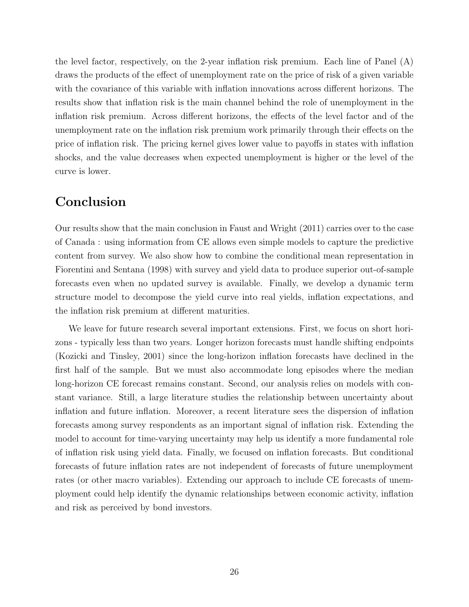the level factor, respectively, on the 2-year inflation risk premium. Each line of Panel (A) draws the products of the effect of unemployment rate on the price of risk of a given variable with the covariance of this variable with inflation innovations across different horizons. The results show that inflation risk is the main channel behind the role of unemployment in the inflation risk premium. Across different horizons, the effects of the level factor and of the unemployment rate on the inflation risk premium work primarily through their effects on the price of inflation risk. The pricing kernel gives lower value to payoffs in states with inflation shocks, and the value decreases when expected unemployment is higher or the level of the curve is lower.

## **Conclusion**

Our results show that the main conclusion in Faust and Wright (2011) carries over to the case of Canada : using information from CE allows even simple models to capture the predictive content from survey. We also show how to combine the conditional mean representation in Fiorentini and Sentana (1998) with survey and yield data to produce superior out-of-sample forecasts even when no updated survey is available. Finally, we develop a dynamic term structure model to decompose the yield curve into real yields, inflation expectations, and the inflation risk premium at different maturities.

We leave for future research several important extensions. First, we focus on short horizons - typically less than two years. Longer horizon forecasts must handle shifting endpoints (Kozicki and Tinsley, 2001) since the long-horizon inflation forecasts have declined in the first half of the sample. But we must also accommodate long episodes where the median long-horizon CE forecast remains constant. Second, our analysis relies on models with constant variance. Still, a large literature studies the relationship between uncertainty about inflation and future inflation. Moreover, a recent literature sees the dispersion of inflation forecasts among survey respondents as an important signal of inflation risk. Extending the model to account for time-varying uncertainty may help us identify a more fundamental role of inflation risk using yield data. Finally, we focused on inflation forecasts. But conditional forecasts of future inflation rates are not independent of forecasts of future unemployment rates (or other macro variables). Extending our approach to include CE forecasts of unemployment could help identify the dynamic relationships between economic activity, inflation and risk as perceived by bond investors.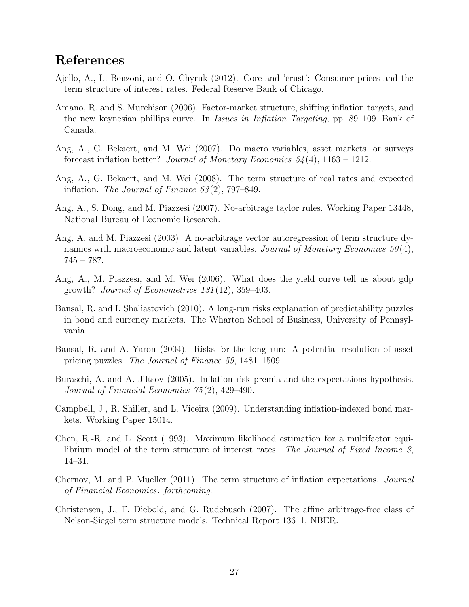## **References**

- Ajello, A., L. Benzoni, and O. Chyruk (2012). Core and 'crust': Consumer prices and the term structure of interest rates. Federal Reserve Bank of Chicago.
- Amano, R. and S. Murchison (2006). Factor-market structure, shifting inflation targets, and the new keynesian phillips curve. In *Issues in Inflation Targeting*, pp. 89–109. Bank of Canada.
- Ang, A., G. Bekaert, and M. Wei (2007). Do macro variables, asset markets, or surveys forecast inflation better? *Journal of Monetary Economics 54* (4), 1163 – 1212.
- Ang, A., G. Bekaert, and M. Wei (2008). The term structure of real rates and expected inflation. *The Journal of Finance 63* (2), 797–849.
- Ang, A., S. Dong, and M. Piazzesi (2007). No-arbitrage taylor rules. Working Paper 13448, National Bureau of Economic Research.
- Ang, A. and M. Piazzesi (2003). A no-arbitrage vector autoregression of term structure dynamics with macroeconomic and latent variables. *Journal of Monetary Economics 50* (4),  $745 - 787.$
- Ang, A., M. Piazzesi, and M. Wei (2006). What does the yield curve tell us about gdp growth? *Journal of Econometrics 131* (12), 359–403.
- Bansal, R. and I. Shaliastovich (2010). A long-run risks explanation of predictability puzzles in bond and currency markets. The Wharton School of Business, University of Pennsylvania.
- Bansal, R. and A. Yaron (2004). Risks for the long run: A potential resolution of asset pricing puzzles. *The Journal of Finance 59*, 1481–1509.
- Buraschi, A. and A. Jiltsov (2005). Inflation risk premia and the expectations hypothesis. *Journal of Financial Economics 75* (2), 429–490.
- Campbell, J., R. Shiller, and L. Viceira (2009). Understanding inflation-indexed bond markets. Working Paper 15014.
- Chen, R.-R. and L. Scott (1993). Maximum likelihood estimation for a multifactor equilibrium model of the term structure of interest rates. *The Journal of Fixed Income 3*, 14–31.
- Chernov, M. and P. Mueller (2011). The term structure of inflation expectations. *Journal of Financial Economics*. *forthcoming*.
- Christensen, J., F. Diebold, and G. Rudebusch (2007). The affine arbitrage-free class of Nelson-Siegel term structure models. Technical Report 13611, NBER.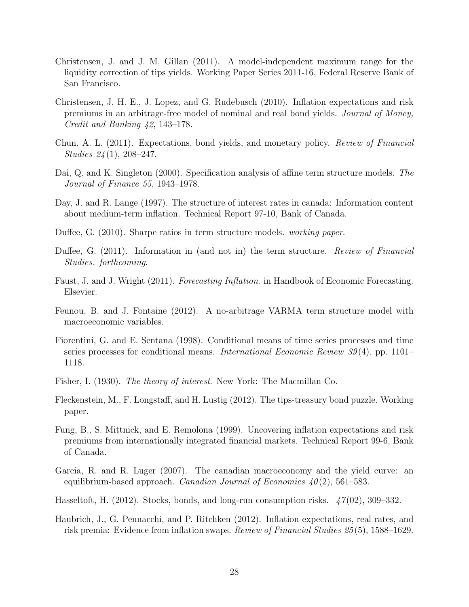- Christensen, J. and J. M. Gillan (2011). A model-independent maximum range for the liquidity correction of tips yields. Working Paper Series 2011-16, Federal Reserve Bank of San Francisco.
- Christensen, J. H. E., J. Lopez, and G. Rudebusch (2010). Inflation expectations and risk premiums in an arbitrage-free model of nominal and real bond yields. *Journal of Money, Credit and Banking 42*, 143–178.
- Chun, A. L. (2011). Expectations, bond yields, and monetary policy. *Review of Financial Studies 24* (1), 208–247.
- Dai, Q. and K. Singleton (2000). Specification analysis of affine term structure models. *The Journal of Finance 55*, 1943–1978.
- Day, J. and R. Lange (1997). The structure of interest rates in canada: Information content about medium-term inflation. Technical Report 97-10, Bank of Canada.
- Duffee, G. (2010). Sharpe ratios in term structure models. *working paper*.
- Duffee, G. (2011). Information in (and not in) the term structure. *Review of Financial Studies*. *forthcoming*.
- Faust, J. and J. Wright (2011). *Forecasting Inflation*. in Handbook of Economic Forecasting. Elsevier.
- Feunou, B. and J. Fontaine (2012). A no-arbitrage VARMA term structure model with macroeconomic variables.
- Fiorentini, G. and E. Sentana (1998). Conditional means of time series processes and time series processes for conditional means. *International Economic Review 39* (4), pp. 1101– 1118.
- Fisher, I. (1930). *The theory of interest*. New York: The Macmillan Co.
- Fleckenstein, M., F. Longstaff, and H. Lustig (2012). The tips-treasury bond puzzle. Working paper.
- Fung, B., S. Mittnick, and E. Remolona (1999). Uncovering inflation expectations and risk premiums from internationally integrated financial markets. Technical Report 99-6, Bank of Canada.
- Garcia, R. and R. Luger (2007). The canadian macroeconomy and the yield curve: an equilibrium-based approach. *Canadian Journal of Economics 40* (2), 561–583.
- Hasseltoft, H. (2012). Stocks, bonds, and long-run consumption risks. *47* (02), 309–332.
- Haubrich, J., G. Pennacchi, and P. Ritchken (2012). Inflation expectations, real rates, and risk premia: Evidence from inflation swaps. *Review of Financial Studies 25* (5), 1588–1629.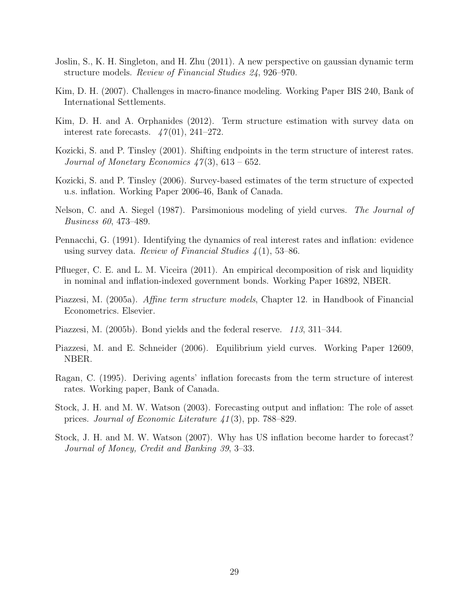- Joslin, S., K. H. Singleton, and H. Zhu (2011). A new perspective on gaussian dynamic term structure models. *Review of Financial Studies 24*, 926–970.
- Kim, D. H. (2007). Challenges in macro-finance modeling. Working Paper BIS 240, Bank of International Settlements.
- Kim, D. H. and A. Orphanides (2012). Term structure estimation with survey data on interest rate forecasts. *47* (01), 241–272.
- Kozicki, S. and P. Tinsley (2001). Shifting endpoints in the term structure of interest rates. *Journal of Monetary Economics 47* (3), 613 – 652.
- Kozicki, S. and P. Tinsley (2006). Survey-based estimates of the term structure of expected u.s. inflation. Working Paper 2006-46, Bank of Canada.
- Nelson, C. and A. Siegel (1987). Parsimonious modeling of yield curves. *The Journal of Business 60*, 473–489.
- Pennacchi, G. (1991). Identifying the dynamics of real interest rates and inflation: evidence using survey data. *Review of Financial Studies 4* (1), 53–86.
- Pflueger, C. E. and L. M. Viceira (2011). An empirical decomposition of risk and liquidity in nominal and inflation-indexed government bonds. Working Paper 16892, NBER.
- Piazzesi, M. (2005a). *Affine term structure models*, Chapter 12. in Handbook of Financial Econometrics. Elsevier.
- Piazzesi, M. (2005b). Bond yields and the federal reserve. *113*, 311–344.
- Piazzesi, M. and E. Schneider (2006). Equilibrium yield curves. Working Paper 12609, NBER.
- Ragan, C. (1995). Deriving agents' inflation forecasts from the term structure of interest rates. Working paper, Bank of Canada.
- Stock, J. H. and M. W. Watson (2003). Forecasting output and inflation: The role of asset prices. *Journal of Economic Literature 41* (3), pp. 788–829.
- Stock, J. H. and M. W. Watson (2007). Why has US inflation become harder to forecast? *Journal of Money, Credit and Banking 39*, 3–33.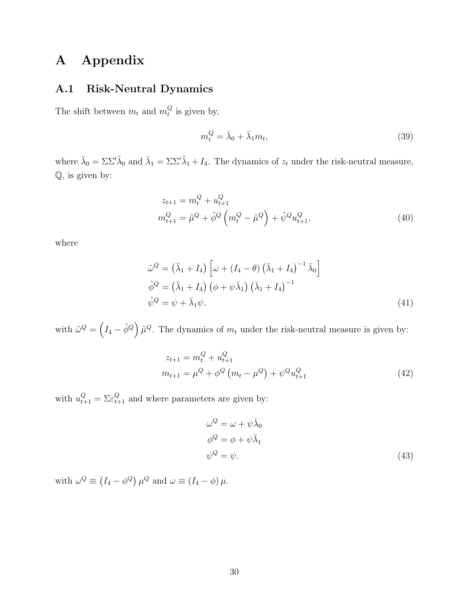## **A Appendix**

## **A.1 Risk-Neutral Dynamics**

The shift between  $m_t$  and  $m_t^Q$  $t_i^Q$  is given by,

$$
m_t^Q = \bar{\lambda}_0 + \bar{\lambda}_1 m_t,\tag{39}
$$

where  $\bar{\lambda}_0 = \Sigma \Sigma' \tilde{\lambda}_0$  and  $\bar{\lambda}_1 = \Sigma \Sigma' \tilde{\lambda}_1 + I_4$ . The dynamics of  $z_t$  under the risk-neutral measure, Q, is given by:

$$
z_{t+1} = m_t^Q + u_{t+1}^Q
$$
  

$$
m_{t+1}^Q = \tilde{\mu}^Q + \tilde{\phi}^Q \left( m_t^Q - \tilde{\mu}^Q \right) + \tilde{\psi}^Q u_{t+1}^Q,
$$
 (40)

where

$$
\tilde{\omega}^{Q} = (\bar{\lambda}_{1} + I_{4}) \left[ \omega + (I_{4} - \theta) \left( \bar{\lambda}_{1} + I_{4} \right)^{-1} \bar{\lambda}_{0} \right]
$$
  

$$
\tilde{\phi}^{Q} = (\bar{\lambda}_{1} + I_{4}) \left( \phi + \psi \bar{\lambda}_{1} \right) \left( \bar{\lambda}_{1} + I_{4} \right)^{-1}
$$
  

$$
\tilde{\psi}^{Q} = \psi + \bar{\lambda}_{1} \psi.
$$
 (41)

with  $\tilde{\omega}^Q = \left(I_4 - \tilde{\phi}^Q\right)\tilde{\mu}^Q$ . The dynamics of  $m_t$  under the risk-neutral measure is given by:

$$
z_{t+1} = m_t^Q + u_{t+1}^Q
$$
  
\n
$$
m_{t+1} = \mu^Q + \phi^Q \left( m_t - \mu^Q \right) + \psi^Q u_{t+1}^Q
$$
\n(42)

with  $u_{t+1}^Q = \sum \varepsilon_{t+1}^Q$  and where parameters are given by:

$$
\omega^{Q} = \omega + \psi \bar{\lambda}_{0}
$$
  
\n
$$
\phi^{Q} = \phi + \psi \bar{\lambda}_{1}
$$
  
\n
$$
\psi^{Q} = \psi.
$$
\n(43)

with  $\omega^Q \equiv (I_4 - \phi^Q) \mu^Q$  and  $\omega \equiv (I_4 - \phi) \mu$ .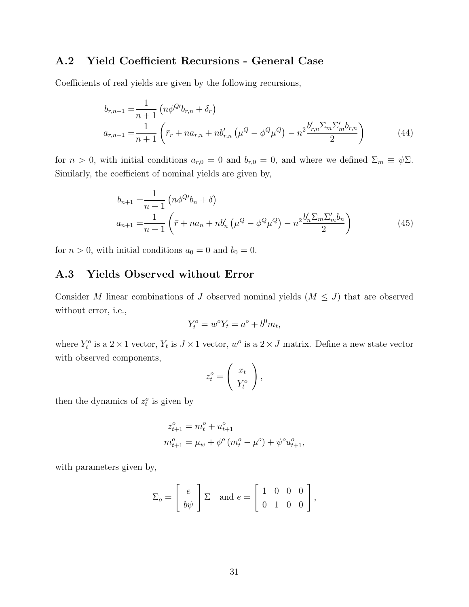## **A.2 Yield Coefficient Recursions - General Case**

Coefficients of real yields are given by the following recursions,

$$
b_{r,n+1} = \frac{1}{n+1} \left( n\phi^{Q'} b_{r,n} + \delta_r \right)
$$
  
\n
$$
a_{r,n+1} = \frac{1}{n+1} \left( \bar{r}_r + n a_{r,n} + n b'_{r,n} \left( \mu^Q - \phi^Q \mu^Q \right) - n^2 \frac{b'_{r,n} \sum_m \sum'_m b_{r,n}}{2} \right)
$$
\n(44)

for *n* > 0, with initial conditions  $a_{r,0} = 0$  and  $b_{r,0} = 0$ , and where we defined  $\Sigma_m \equiv \psi \Sigma$ . Similarly, the coefficient of nominal yields are given by,

$$
b_{n+1} = \frac{1}{n+1} \left( n\phi^{Q'} b_n + \delta \right)
$$
  

$$
a_{n+1} = \frac{1}{n+1} \left( \bar{r} + n a_n + n b'_n \left( \mu^Q - \phi^Q \mu^Q \right) - n^2 \frac{b'_n \Sigma_m \Sigma'_m b_n}{2} \right)
$$
 (45)

for  $n > 0$ , with initial conditions  $a_0 = 0$  and  $b_0 = 0$ .

## **A.3 Yields Observed without Error**

Consider *M* linear combinations of *J* observed nominal yields  $(M \leq J)$  that are observed without error, i.e.,

$$
Y_t^o = w^o Y_t = a^o + b^0 m_t,
$$

where  $Y_t^o$  is a  $2 \times 1$  vector,  $Y_t$  is  $J \times 1$  vector,  $w^o$  is a  $2 \times J$  matrix. Define a new state vector with observed components,

$$
z_t^o = \left(\begin{array}{c} x_t \\ Y_t^o \end{array}\right),
$$

then the dynamics of  $z_t^o$  is given by

$$
z_{t+1}^o = m_t^o + u_{t+1}^o
$$
  

$$
m_{t+1}^o = \mu_w + \phi^o \left( m_t^o - \mu^o \right) + \psi^o u_{t+1}^o,
$$

with parameters given by,

$$
\Sigma_o = \left[ \begin{array}{c} e \\ b\psi \end{array} \right] \Sigma \text{ and } e = \left[ \begin{array}{ccc} 1 & 0 & 0 & 0 \\ 0 & 1 & 0 & 0 \end{array} \right],
$$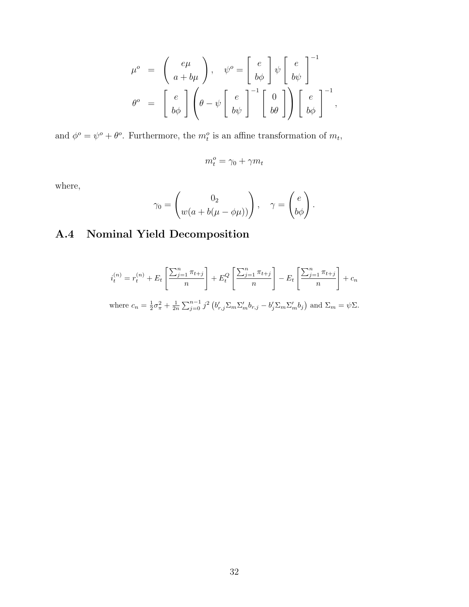$$
\mu^o = \begin{pmatrix} e\mu \\ a+b\mu \end{pmatrix}, \quad \psi^o = \begin{bmatrix} e \\ b\phi \end{bmatrix} \psi \begin{bmatrix} e \\ b\psi \end{bmatrix}^{-1}
$$

$$
\theta^o = \begin{bmatrix} e \\ b\phi \end{bmatrix} \begin{pmatrix} e \\ \theta - \psi \begin{bmatrix} e \\ b\psi \end{bmatrix}^{-1} \begin{bmatrix} 0 \\ b\theta \end{bmatrix} \end{pmatrix} \begin{bmatrix} e \\ b\phi \end{bmatrix}^{-1},
$$

and  $\phi^o = \psi^o + \theta^o$ . Furthermore, the  $m_t^o$  is an affine transformation of  $m_t$ ,

$$
m_t^o = \gamma_0 + \gamma m_t
$$

where,

$$
\gamma_0 = \begin{pmatrix} 0_2 \\ w(a + b(\mu - \phi \mu)) \end{pmatrix}, \quad \gamma = \begin{pmatrix} e \\ b\phi \end{pmatrix}.
$$

# **A.4 Nominal Yield Decomposition**

$$
i_t^{(n)} = r_t^{(n)} + E_t \left[ \frac{\sum_{j=1}^n \pi_{t+j}}{n} \right] + E_t^Q \left[ \frac{\sum_{j=1}^n \pi_{t+j}}{n} \right] - E_t \left[ \frac{\sum_{j=1}^n \pi_{t+j}}{n} \right] + c_n
$$

where 
$$
c_n = \frac{1}{2}\sigma_{\pi}^2 + \frac{1}{2n}\sum_{j=0}^{n-1}j^2 \left(b'_{r,j}\sum_m \sum'_m b_{r,j} - b'_j \sum_m \sum'_m b_j\right)
$$
 and  $\sum_m = \psi \sum$ .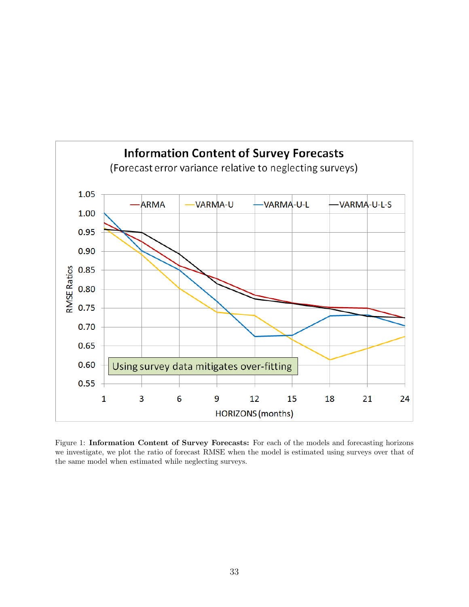

Figure 1: **Information Content of Survey Forecasts:** For each of the models and forecasting horizons we investigate, we plot the ratio of forecast RMSE when the model is estimated using surveys over that of the same model when estimated while neglecting surveys.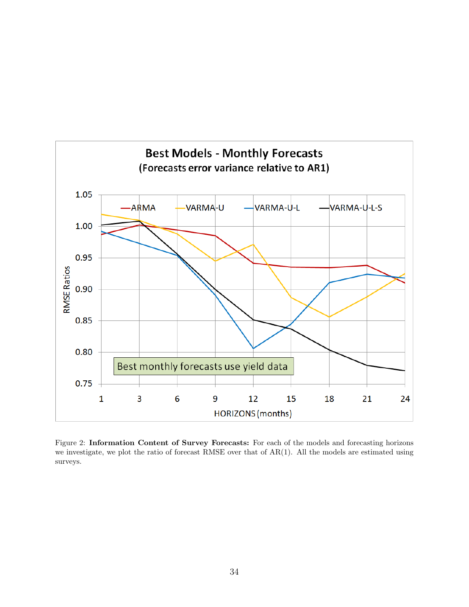

Figure 2: **Information Content of Survey Forecasts:** For each of the models and forecasting horizons we investigate, we plot the ratio of forecast RMSE over that of AR(1). All the models are estimated using surveys.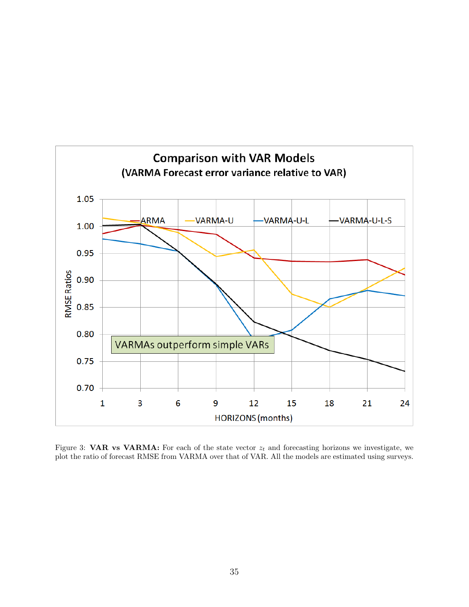

Figure 3: **VAR vs VARMA:** For each of the state vector  $z_t$  and forecasting horizons we investigate, we plot the ratio of forecast RMSE from VARMA over that of VAR. All the models are estimated using surveys.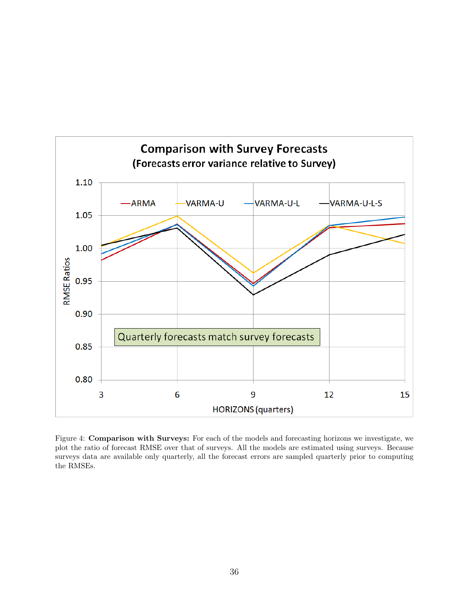

Figure 4: **Comparison with Surveys:** For each of the models and forecasting horizons we investigate, we plot the ratio of forecast RMSE over that of surveys. All the models are estimated using surveys. Because surveys data are available only quarterly, all the forecast errors are sampled quarterly prior to computing the RMSEs.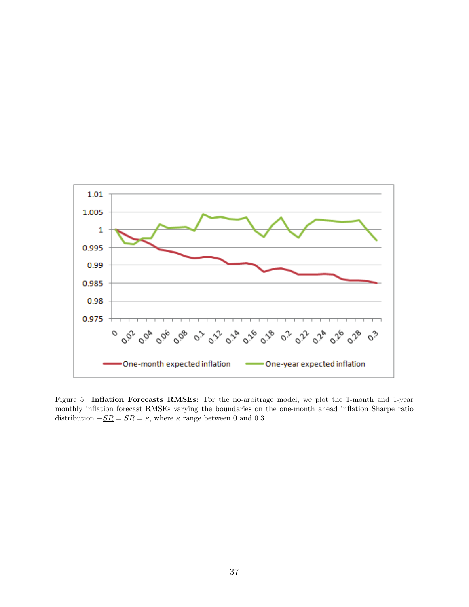

Figure 5: **Inflation Forecasts RMSEs:** For the no-arbitrage model, we plot the 1-month and 1-year monthly inflation forecast RMSEs varying the boundaries on the one-month ahead inflation Sharpe ratio distribution  $-\underline{SR} = \overline{SR} = \kappa$ , where  $\kappa$  range between 0 and 0.3.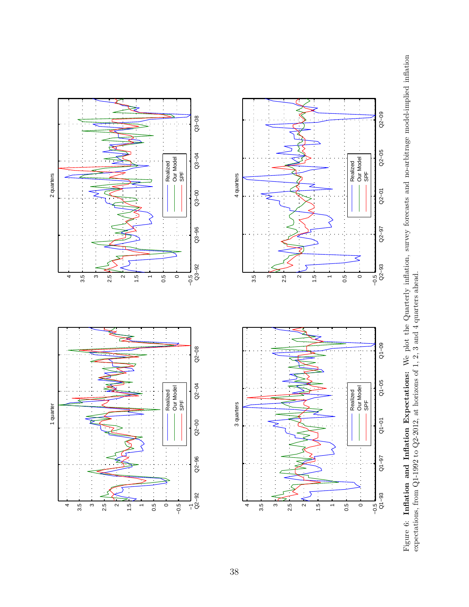Figure 6: Inflation and Inflation Expectations: We plot the Quarterly inflation, survey forecasts and no-arbitrage model-implied inflation expectations, from Q1-1992 to Q2-2012, at horizons of 1, 2, 3 and 4 quarters ahead. Figure 6: **Inflation and Inflation Expectations:** We plot the Quarterly inflation, survey forecasts and no-arbitrage model-implied inflation expectations, from Q1-1992 to Q2-2012, at horizons of 1, 2, 3 and 4 quarters ahead.



 $\frac{3}{2.5}$ 

 $4\frac{3.5}{6}$ 

ن<br>4<br>3.5

2 quarters

1 quarter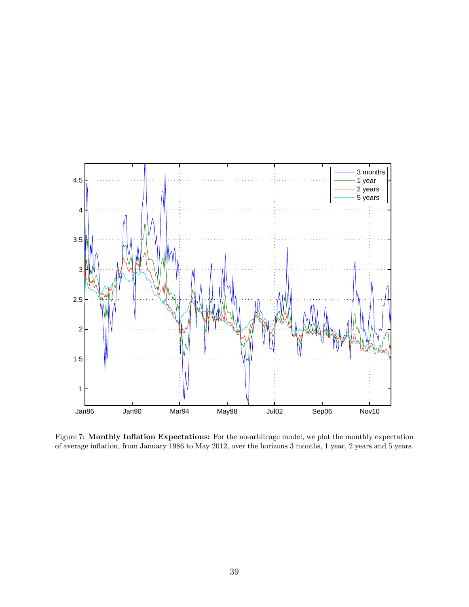

Figure 7: **Monthly Inflation Expectations:** For the no-arbitrage model, we plot the monthly expectation of average inflation, from January 1986 to May 2012, over the horizons 3 months, 1 year, 2 years and 5 years.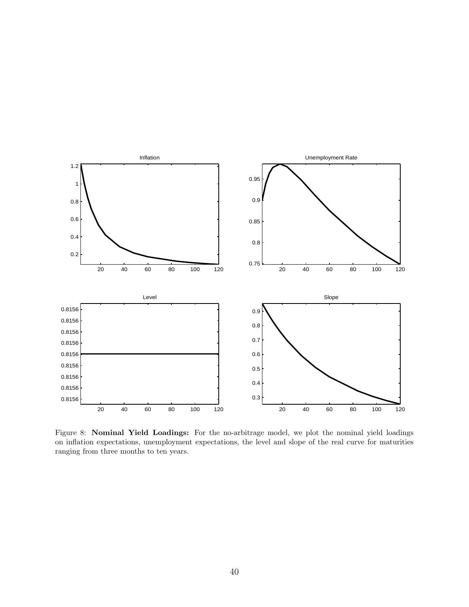

Figure 8: **Nominal Yield Loadings:** For the no-arbitrage model, we plot the nominal yield loadings on inflation expectations, unemployment expectations, the level and slope of the real curve for maturities ranging from three months to ten years.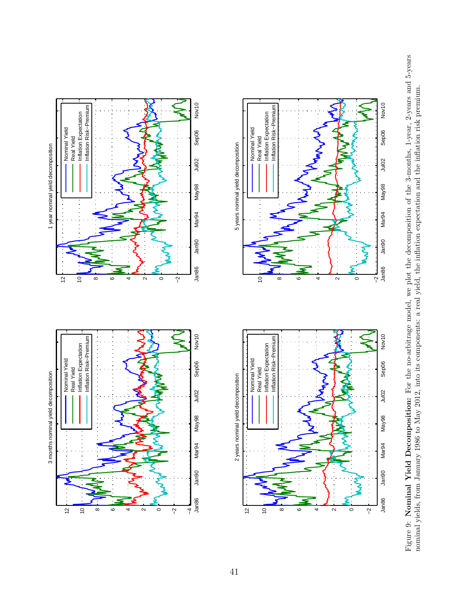





Figure 9: Nominal Yield Decomposition: For the no-arbitrage model, we plot the decomposition of the 3-months, 1-year, 2-years and 5-years Figure 9: **Nominal Yield Decomposition:** For the no-arbitrage model, we plot the decomposition of the 3-months, 1-year, 2-years and 5-years nominal yields, from January 1986 to May 2012, into its components: a real yield, the inflation expectation and the inflation risk premium. nominal yields, from January 1986 to May 2012, into its components: a real yield, the inflation expectation and the inflation risk premium.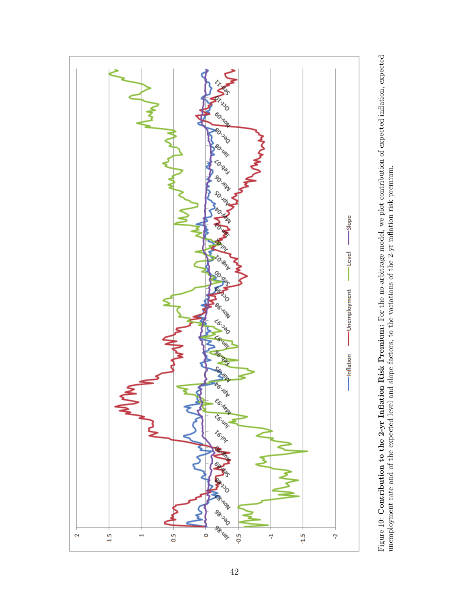

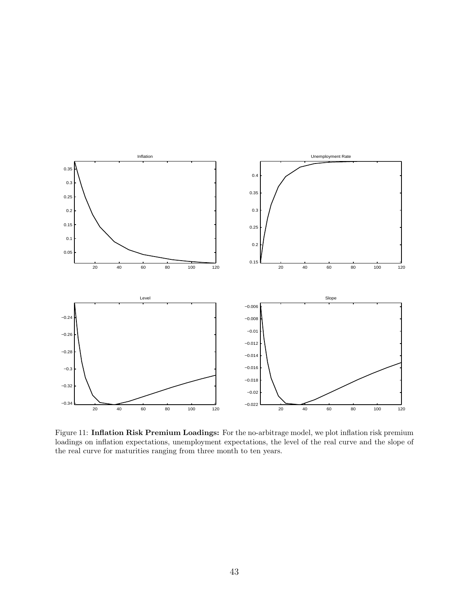

Figure 11: **Inflation Risk Premium Loadings:** For the no-arbitrage model, we plot inflation risk premium loadings on inflation expectations, unemployment expectations, the level of the real curve and the slope of the real curve for maturities ranging from three month to ten years.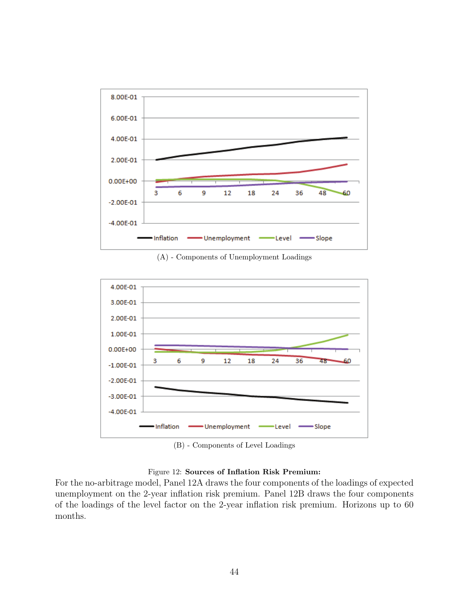

(A) - Components of Unemployment Loadings



(B) - Components of Level Loadings

#### Figure 12: **Sources of Inflation Risk Premium:**

For the no-arbitrage model, Panel 12A draws the four components of the loadings of expected unemployment on the 2-year inflation risk premium. Panel 12B draws the four components of the loadings of the level factor on the 2-year inflation risk premium. Horizons up to 60 months.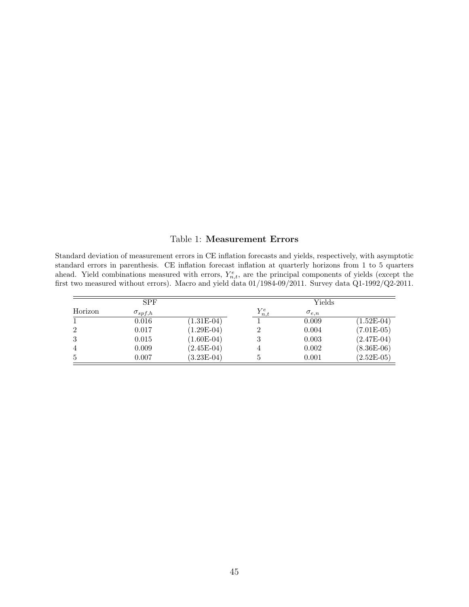#### Table 1: **Measurement Errors**

Standard deviation of measurement errors in CE inflation forecasts and yields, respectively, with asymptotic standard errors in parenthesis. CE inflation forecast inflation at quarterly horizons from 1 to 5 quarters ahead. Yield combinations measured with errors,  $Y_{n,t}^e$ , are the principal components of yields (except the first two measured without errors). Macro and yield data 01/1984-09/2011. Survey data Q1-1992/Q2-2011.

|                | <b>SPF</b>       |              |             | Yields         |              |
|----------------|------------------|--------------|-------------|----------------|--------------|
| Horizon        | $\sigma_{spf,h}$ |              | $Y_{n,t}^e$ | $\sigma_{e,n}$ |              |
|                | 0.016            | $(1.31E-04)$ |             | 0.009          | $(1.52E-04)$ |
| $\overline{2}$ | 0.017            | $(1.29E-04)$ |             | 0.004          | $(7.01E-05)$ |
| 3              | 0.015            | $(1.60E-04)$ |             | 0.003          | $(2.47E-04)$ |
| $\overline{4}$ | 0.009            | $(2.45E-04)$ |             | 0.002          | $(8.36E-06)$ |
| 5              | 0.007            | $(3.23E-04)$ |             | 0.001          | $(2.52E-05)$ |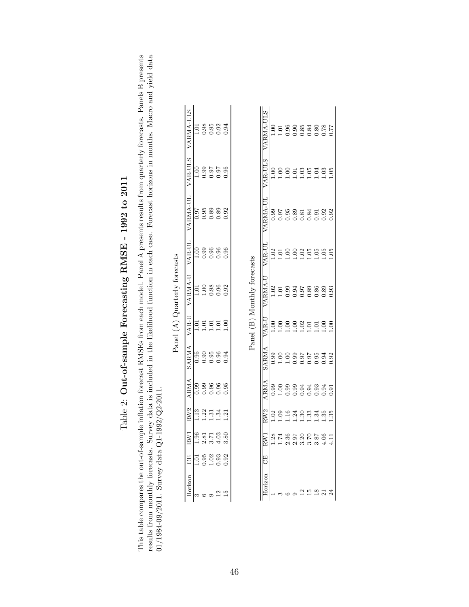| $\mathbf{i}$<br>ーーく                                                                                                         |
|-----------------------------------------------------------------------------------------------------------------------------|
|                                                                                                                             |
| c<br>C<br>ĭ                                                                                                                 |
| ı<br>してん ドイ                                                                                                                 |
| J<br>֕<br>֝֝֝֝֝֝֝֝֝֝֝֝<br>֪֝֝֝<br>֪֧֖֖֧֧֧֧֧֧֧֧֧֧֧֧֚֚֚֚֚֚֚֚֚֚֚֚֚֚֚֚֝֝֝֝֝֝֬֝֝֝֬֝֝֝֬֝֝֬֝֝֝֬֝֬֝֬֝֬֝֝֬֝֬֝֬֝֬֝֬֝֬֝<br>֧֧֚֚֝֝<br>ſ |
| $\frac{1}{2}$<br>י<br>ľ<br>l                                                                                                |
| I                                                                                                                           |

This table compares the out-of-sample inflation forecast RMSEs from each model. Panel A presents results from quarterly forecasts. Panels B presents results from monthly forecasts. Survey data is included in the likelihoo This table compares the out-of-sample inflation forecast RMSEs from each model. Panel A presents results from quarterly forecasts. Panels B presents results from monthly forecasts. Survey data is included in the likelihood function in each case. Forecast horizons in months. Macro and yield data 01/1984-09/2011. Survey data Q1-1992/Q2-2011.

|                                                                                                                                                                                    | RW1              | RW <sub>2</sub>        | ARMA            | <b>SARMA</b>                                | $VAR-U$ | VARMA-U          | VAR-UL                                      | VARMA-UL             | VAR-ULS                                            | VARMA-ULS           |
|------------------------------------------------------------------------------------------------------------------------------------------------------------------------------------|------------------|------------------------|-----------------|---------------------------------------------|---------|------------------|---------------------------------------------|----------------------|----------------------------------------------------|---------------------|
|                                                                                                                                                                                    | $\frac{6}{1.96}$ | $\vert$ $\frac{13}{2}$ | $\frac{66}{10}$ |                                             | $\vert$ |                  | $\begin{array}{c} 1.00 \\ 0.99 \end{array}$ |                      |                                                    |                     |
|                                                                                                                                                                                    | 2.81             | 1.22                   | 0.99            | $\begin{array}{c} 0.95 \\ 0.90 \end{array}$ | 1.01    | $1.01$<br>$1.00$ |                                             | 0.95<br>0.98<br>0.90 | $\begin{array}{c} 0.30 \\ -0.99 \end{array}$       | $\frac{1.01}{0.98}$ |
|                                                                                                                                                                                    | 3.71             | $\Xi$                  | 0.96            | 0.95                                        | 1.01    | 0.98             | 0.96                                        |                      | $\begin{array}{c} 0.97 \\ 0.97 \\ 0.0 \end{array}$ | 0.95                |
|                                                                                                                                                                                    | 4.03             | 1.34                   | 0.96            | 0.96                                        | 1.01    | 0.96             | 0.96                                        | 1.89                 |                                                    | 0.92                |
| $\begin{tabular}{l cc}\hline\text{Horizon} & \text{CE} & \text{1} \\\hline 3 & & 1.01 & \\ 6 & & 0.95 & \\ 9 & & 1.02 & \\ 12 & & 0.93 & \\ 15 & & 0.92 & \\ \hline \end{tabular}$ | 3.80             | $\overline{21}$        | 0.95            | 0.94                                        | ș       | 0.92             | 0.96                                        | 0.92                 |                                                    | 0.94                |
|                                                                                                                                                                                    |                  |                        |                 |                                             |         |                  |                                             |                      |                                                    |                     |
|                                                                                                                                                                                    |                  |                        |                 |                                             |         |                  |                                             |                      |                                                    |                     |

Panel (A)  $\it Quarterly$  forecasts Panel (A) Quarterly forecasts

Panel (B) Monthly forecasts Panel (B) Monthly forecasts

| ARMA-ULS       |             |      |        |         | 0.85           | 0.84             | 0.80       | 0.78  | 177       |
|----------------|-------------|------|--------|---------|----------------|------------------|------------|-------|-----------|
| VAR-ULS        |             |      |        |         |                | 1.05             | $\ddot{5}$ | 3.    | $\approx$ |
| 'ARMA-UI       | 0.99        | 0.97 | $-0.5$ | .89     | $-81$          | 0.84             | 0.91       | 0.92  | 92        |
| /AR-UI         | 0.02        | ą    | ë      | S       | $\overline{0}$ | 0.05             | $\ddot{0}$ | ë     | ë         |
| ARMA-U         | 0.02        |      |        | 0.94    | 0.97           | 0.89             | 0.86       | 0.89  | 3         |
| /AR-U          | 00.1        | š    | Š      | e.<br>C | 1.02           | 1.01             | $\Xi$      | $\Xi$ | 5         |
| <b>ARMA</b>    | 0.99        | ă    |        | 3.99    | 0.97           | $0.97$<br>$0.95$ |            | 0.94  | 0.92      |
| ANA            | <b>06.C</b> | ĕ    | ğ      | 0.95    |                | ತ ತೆ.<br>ವ ತೆ. ಇ |            | 0.94  | $-1.61$   |
| W <sub>2</sub> | Sö          | SÒ.  | Ĕ      | শ্র     | $\frac{1}{2}$  | ر<br>دی          | ઝું        | ಜ್ಞ   | SS.       |
| RW1            | .28         | 74.  | 2.36   | 2.97    | $\frac{20}{2}$ | 3.70             | 3.87       | 0.96  | i<br>H    |
| 5              |             |      |        |         |                |                  |            |       |           |
|                |             |      |        |         |                |                  |            |       |           |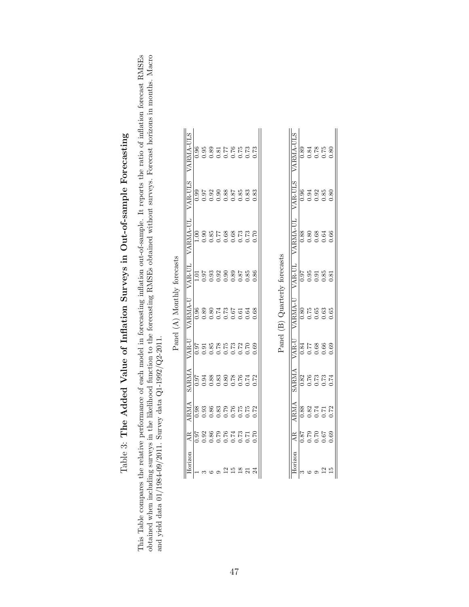|          |                                |                            |                                |                     | Panel (A) Monthly forecasts   |                    |                |                      |                        |
|----------|--------------------------------|----------------------------|--------------------------------|---------------------|-------------------------------|--------------------|----------------|----------------------|------------------------|
| Horizon  | AR                             | ARMA                       | SARMA                          | VAR-U               | VARMA-U                       | <b>VAR-UL</b>      | VARMA-UL       | VAR-ULS              | VARMA-ULS              |
|          | <b>160</b>                     | 0.98                       | 0.97                           | 0.97                | 0.96                          | 1.01               | 8<br>C         | 0.99                 | 0.96                   |
|          |                                | 388376<br>0.0000<br>0.0000 |                                | 0.91                |                               | 1.97               | 0.90           | 0.97                 |                        |
|          | 52<br>236<br>286<br>286<br>286 |                            |                                | 0.85                |                               |                    |                |                      |                        |
|          |                                |                            |                                |                     |                               |                    |                |                      |                        |
|          |                                |                            |                                | 255<br>0.55<br>0.50 |                               |                    |                |                      |                        |
|          |                                |                            |                                |                     |                               |                    |                |                      |                        |
|          | 0.73                           | 0.75                       | 53888884<br>5388888<br>5000000 | 0.72                |                               | 33<br>3353<br>0000 |                | 33<br>33885<br>00000 | 231312686<br>200000000 |
|          | 0.71                           | 0.75                       |                                | 0.70                | 0.64                          | 0.85               | 0.73           | 0.83                 |                        |
|          | 0.70                           | 0.72                       | 0.72                           | 0.69                | 0.68                          | 0.86               | 0.70           | 0.83                 | 0.73                   |
|          |                                |                            |                                |                     | Panel (B) Quarterly forecasts |                    |                |                      |                        |
|          |                                |                            |                                |                     |                               |                    |                |                      |                        |
| Horizon  | AR                             | ARMA                       | <b>SARMA</b>                   | VAR-U               | VARMA-U                       | <b>VAR-UL</b>      | VARMA-UL       | <b>VAR-ULS</b>       | VARMA-ULS              |
| S        | 0.87                           | 0.88                       | 0.82                           | 0.84                | 0.80                          | 0.97               | 0.88           | 0.96                 | 0.89                   |
| $\infty$ | 0.70                           | 0.89                       | 076                            | 77<br>17            | N 7۲                          | 0 <sup>5</sup>     | $\overline{0}$ | 0.01                 | 0.84                   |

Table 3: The Added Value of Inflation Surveys in Out-of-sample Forecasting Table 3: **The Added Value of Inflation Surveys in Out-of-sample Forecasting**

obtained when including surveys in the likelihood function to the forecasting RMSEs obtained without surveys. Forecast horizons in months. Macro and yield data 01/1984-09/2011. Survey data  $Q1-1992/Q2-2011$ . This Table compares the relative performance of each model in forecasting inflation out-of-sample. It reports the ratio of inflation forecast RMSEs This Table compares the relative performance of each model in forecasting inflation out-of-sample. It reports the ratio of inflation forecast RMSEs obtained when including surveys in the likelihood function to the forecasting RMSEs obtained without surveys. Forecast horizons in months. Macro and yield data 01/1984-09/2011. Survey data Q1-1992/Q2-2011.

| ARMA-UL        |                 | 0.84         |         | 8<br>0.5<br>0.0      |      |
|----------------|-----------------|--------------|---------|----------------------|------|
| <b>AR-ULS</b>  | 0.96            | 0.94         |         | $\frac{33}{280}$     |      |
| <b>ARMA-UL</b> |                 |              |         |                      |      |
| <b>AR-UL</b>   | $0.97$<br>0.95  |              |         | 3.85<br>0.85<br>0.91 |      |
| ARMA-U         | 0.80            | 0.75         |         | 0.63<br>0.63         | 0.65 |
| VAR-U          | $\frac{1}{184}$ |              |         | 88<br>0.69<br>0.0    |      |
| <b>SARMA</b>   | 0.82            | 0.76         |         | 2<br>0.74<br>0.0     |      |
| <b>AMA</b>     |                 | 0.88<br>0.82 |         | 0.74<br>0.72<br>0.72 |      |
| হ              | 0.87            | 0.79         | 0.70    | 0.67                 | 0.69 |
|                | S               | $\circ$      | $\circ$ | $\frac{2}{1}$        | 5i   |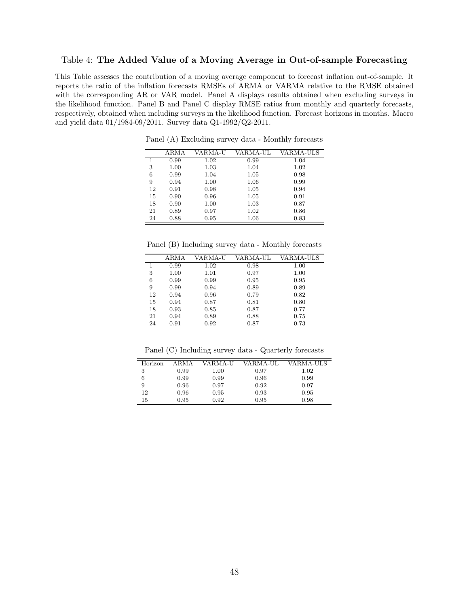#### Table 4: **The Added Value of a Moving Average in Out-of-sample Forecasting**

This Table assesses the contribution of a moving average component to forecast inflation out-of-sample. It reports the ratio of the inflation forecasts RMSEs of ARMA or VARMA relative to the RMSE obtained with the corresponding AR or VAR model. Panel A displays results obtained when excluding surveys in the likelihood function. Panel B and Panel C display RMSE ratios from monthly and quarterly forecasts, respectively, obtained when including surveys in the likelihood function. Forecast horizons in months. Macro and yield data 01/1984-09/2011. Survey data Q1-1992/Q2-2011.

|    | ARMA | VARMA-U | VARMA-UL | VARMA-ULS |
|----|------|---------|----------|-----------|
| 1  | 0.99 | 1.02    | 0.99     | 1.04      |
| 3  | 1.00 | 1.03    | 1.04     | 1.02      |
| 6  | 0.99 | 1.04    | 1.05     | 0.98      |
| 9  | 0.94 | 1.00    | 1.06     | 0.99      |
| 12 | 0.91 | 0.98    | 1.05     | 0.94      |
| 15 | 0.90 | 0.96    | 1.05     | 0.91      |
| 18 | 0.90 | 1.00    | 1.03     | 0.87      |
| 21 | 0.89 | 0.97    | 1.02     | 0.86      |
| 24 | 0.88 | 0.95    | 1.06     | 0.83      |

Panel (A) Excluding survey data - Monthly forecasts

Panel (B) Including survey data - Monthly forecasts

|    | ARMA | VARMA-U | VARMA-UL | VARMA-ULS |
|----|------|---------|----------|-----------|
| 1  | 0.99 | 1.02    | 0.98     | 1.00      |
| 3  | 1.00 | 1.01    | 0.97     | 1.00      |
| 6  | 0.99 | 0.99    | 0.95     | 0.95      |
| 9  | 0.99 | 0.94    | 0.89     | 0.89      |
| 12 | 0.94 | 0.96    | 0.79     | 0.82      |
| 15 | 0.94 | 0.87    | 0.81     | 0.80      |
| 18 | 0.93 | 0.85    | 0.87     | 0.77      |
| 21 | 0.94 | 0.89    | 0.88     | 0.75      |
| 24 | 0.91 | 0.92    | 0.87     | 0.73      |

Panel (C) Including survey data - Quarterly forecasts

| Horizon | ARMA | VARMA-U | VARMA-UL | VARMA-ULS |
|---------|------|---------|----------|-----------|
| 3       | 0.99 | 1.00    | 0.97     | 1.02      |
| 6       | 0.99 | 0.99    | 0.96     | 0.99      |
| 9       | 0.96 | 0.97    | 0.92     | 0.97      |
| 12      | 0.96 | 0.95    | 0.93     | 0.95      |
| 15      | 0.95 | 0.92    | 0.95     | 0.98      |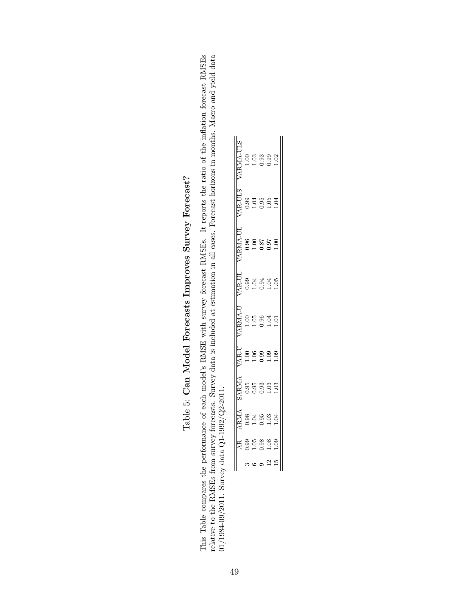| てくくら<br>ľ                          |
|------------------------------------|
| ł<br>֚֡                            |
| -<br>くらい<br>-<br>קל<br>j<br>i<br>I |
| こ しょくりくらく こくこ<br>ŗ                 |
| ;<br>;<br>;<br>ا<br>ا              |
| r<br>C<br>$\vdots$<br>้            |
| Ì<br>١<br>ĺ                        |

This Table compares the performance of each model's RMSE with survey forecast RMSEs. It reports the ratio of the inflation forecast RMSEs relative to the RMSEs from survey forecasts. Survey data is included at estimation This Table compares the performance of each model's RMSE with survey forecast RMSEs. It reports the ratio of the inflation forecast RMSEs relative to the RMSEs from survey forecasts. Survey data is included at estimation in all cases. Forecast horizons in months. Macro and yield data 01/1984-09/2011. Survey data Q1-1992/Q2-2011.

|               | <b>AMA</b>                | ARMA        | AR-U | ARMA-U         | AR-UL                 | <b>ARMA-UL</b> | AR-ULS     | ARMA-ULS          |
|---------------|---------------------------|-------------|------|----------------|-----------------------|----------------|------------|-------------------|
|               | <b>J.98</b>               | 0.95        | 00.1 | 0.1            | 0.09                  | 0.96           | 0.99       |                   |
| $\ddot{ }$    | 5<br>-<br>-<br>$\breve{}$ | 3.<br>CC    | ĕ    |                | ל<br>ל<br>$\subset$   | e<br>C         | ३          | $\frac{8}{1}$ .03 |
| 0.98          | 0.95                      | 3.<br>C     | 99.  | 9.<br>C        | 0.94                  | 0.87           | 9.90       |                   |
| $\frac{8}{1}$ | $-03$                     | 3<br>-<br>1 | 0.09 | 1.04           | ל<br>י<br>$\tilde{a}$ | 0.07           | $-5$       | 88<br>0.82<br>1.1 |
| 0.9           | 1.04                      | 0.03        | 0.09 | $\overline{0}$ | 0.05                  | 8<br>-<br>-    | $\ddot{5}$ |                   |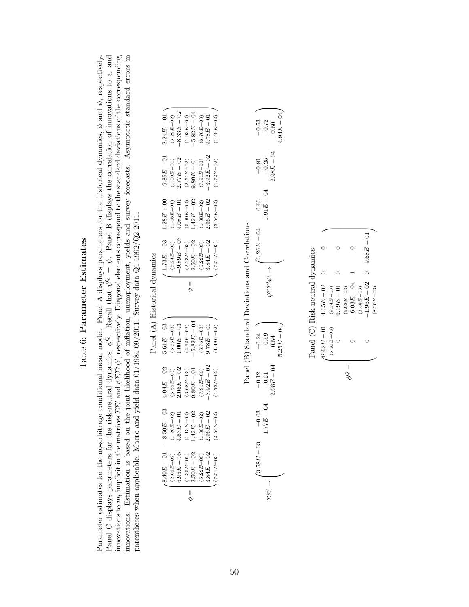# Table 6: Parameter Estimates Table 6: **Parameter Estimates**

Panel C displays parameters for the risk-neutral dynamics,  $\phi^Q$ . Recall that  $\psi^Q = \psi$ . Panel B displays the correlation of innovations to  $z_t$  and innovations to  $m_t$  implicit in the matrices  $\Sigma\Sigma'$  and  $\psi\Sigma\Sigma'\psi'$ , respectively. Diagonal elements correspond to the standard deviations of the corresponding innovations. Estimation is based on the joint likelihood of inflation, unemployment, yields and survey forecasts. Asymptotic standard errors in Parameter estimates for the no-arbitrage conditional mean model. Panel A displays parameters for the historical dynamics,  $\phi$  and  $\psi$ , respectively. Parameter estimates for the no-arbitrage conditional mean model. Panel A displays parameters for the historical dynamics, *ϕ* and *ψ*, respectively. Panel C displays parameters for the risk-neutral dynamics, *ϕQ*. Recall that *ψQ* = *ψ*. Panel B displays the correlation of innovations to *zt* and innovations to *mt* implicit in the matrices ΣΣ*′* and *ψ*ΣΣ*′ψ′*, respectively. Diagonal elements correspond to the standard deviations of the corresponding innovations. Estimation is based on the joint likelihood of inflation, unemployment, yields and survey forecasts. Asymptotic standard errors in parentheses when applicable. Macro and yield data 01/1984-09/2011. Survey data Q1-1992/Q2-2011. parentheses when applicable. Macro and yield data 01/1984-09/2011. Survey data Q1-1992/Q2-2011.

|                               | $2.24E - 01$                 | $(3.29E - 02)$ | $-8.33E - 02$     | $(1.93E\!-\!02)$ | $-5.82E-04$   | $(6.76E - 03)$ | $9.78E - 01$  | $(1.49E - 02)$ |
|-------------------------------|------------------------------|----------------|-------------------|------------------|---------------|----------------|---------------|----------------|
|                               | $1.28E + 00 -9.85E - 01$     | $(1.00E - 01)$ | $2.77E - 02$      | $(2.51E\!-\!02)$ | $9.80E-01$    | $(7.91E - 03)$ | $-3.92E - 02$ | $(1.72E - 02)$ |
|                               |                              | $(1.48E - 01)$ | $10-{\cal B}80.6$ | $(5.99E - 02)$   | $1.42E - 02$  | $(1.38E - 02)$ | $2.96E - 02$  | $(2.54E - 02)$ |
|                               | $\prime$ 1.73 $E-03$         | $(5.24E - 03)$ | $-9.89E - 03$     | $(2.23E - 03)$   | $2.50E - 02$  | $(5.22E - 03)$ | $3.84E - 02$  | $(7.51E - 03)$ |
|                               |                              |                |                   |                  | $\vert$       |                |               |                |
| Panel (A) Historical dynamics | $5.61E - 03$                 | $(5.55E - 03)$ | $.00E - 03$       | $(4.92E - 03)$   | $-5.82E - 04$ | $(6.76E - 03)$ | $9.78E - 01$  | $(1.49E - 02)$ |
|                               |                              |                |                   |                  |               |                |               |                |
|                               | $4.04E - 02$                 | $(5.52E - 03)$ | $2.06E - 02$      | $(3.68E - 03)$   | $9.80E - 01$  | $(7.91E - 03)$ | $-3.92E - 02$ | $(1.72E - 02)$ |
|                               | $-8.50E - 03$<br>$(8.40E-0)$ | $(1.20E - 02)$ | $9.63E - 01$      | $(1.13E - 02)$   | $1.42E - 02$  | $(1.38E - 02)$ | $2.96E - 02$  | $(2.54E - 02)$ |

 $\mathbf{p}_{\text{and}}(A)$  Hietorical dua

Panel (B) Standard Deviations and Correlations Panel (B) Standard Deviations and Correlations

|              | $\begin{array}{r} -0.53 \\ -0.72 \\ 0.50 \end{array}$  |            | $.94E - 04$ |
|--------------|--------------------------------------------------------|------------|-------------|
| $-0.81$      | $-0.25$                                                | $-98E - 0$ |             |
| 0.63         | $-91E - 04$                                            |            |             |
| $3.26E - 04$ |                                                        |            |             |
|              |                                                        | バビング (パス)  |             |
|              |                                                        |            |             |
|              | $-0.54$<br>$-0.54$                                     |            | $-25E - 04$ |
|              | $\begin{array}{r} -0.12 \\ -0.21 \\ -0.21 \end{array}$ |            |             |
| $-0.03$      | $77E - 0.5$                                            |            |             |
| ≌<br>I       |                                                        |            |             |

Panel (C) Risk-neutral dynamics Panel (C) Risk-neutral dynamics

|        | $\ell 8.62E-01$ | $4.35E - 02$   |              |  |
|--------|-----------------|----------------|--------------|--|
|        | $(5.85E - 03)$  | $(9.34E - 03)$ |              |  |
|        |                 | $9.99E - 01$   |              |  |
|        |                 | $(6.03E - 03)$ |              |  |
| e<br>G |                 | $-6.03E - 04$  |              |  |
|        |                 | $(3.48E - 03)$ |              |  |
|        |                 | $-1.96E - 02$  | $9.68E - 01$ |  |
|        |                 | $(8.20E - 03)$ |              |  |